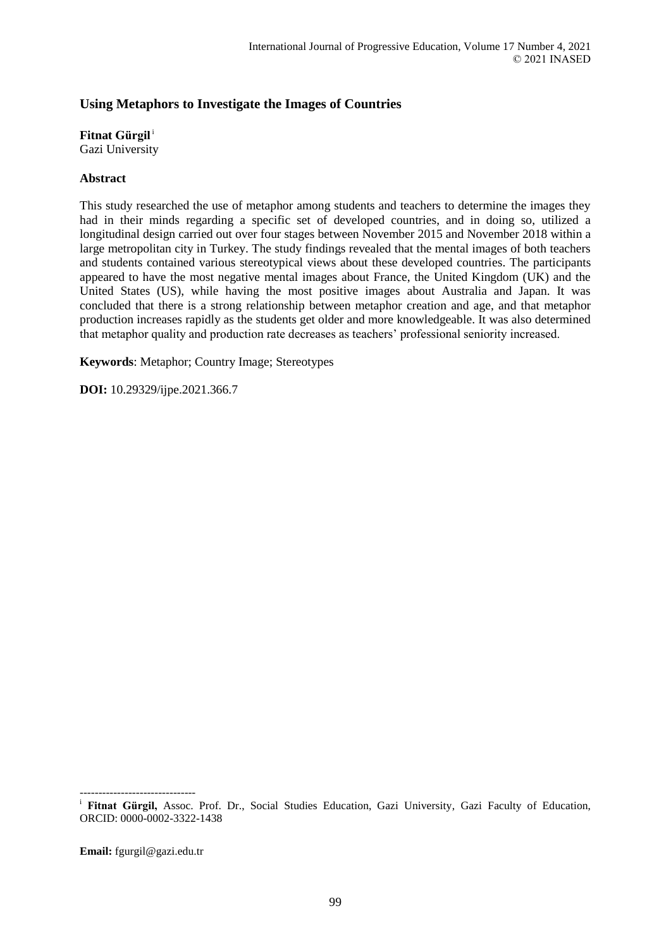# **Using Metaphors to Investigate the Images of Countries**

### **Fitnat Gürgil**<sup>i</sup>

Gazi University

## **Abstract**

This study researched the use of metaphor among students and teachers to determine the images they had in their minds regarding a specific set of developed countries, and in doing so, utilized a longitudinal design carried out over four stages between November 2015 and November 2018 within a large metropolitan city in Turkey. The study findings revealed that the mental images of both teachers and students contained various stereotypical views about these developed countries. The participants appeared to have the most negative mental images about France, the United Kingdom (UK) and the United States (US), while having the most positive images about Australia and Japan. It was concluded that there is a strong relationship between metaphor creation and age, and that metaphor production increases rapidly as the students get older and more knowledgeable. It was also determined that metaphor quality and production rate decreases as teachers' professional seniority increased.

**Keywords**: Metaphor; Country Image; Stereotypes

**DOI:** 10.29329/ijpe.2021.366.7

**Email:** fgurgil@gazi.edu.tr

-------------------------------

<sup>&</sup>lt;sup>i</sup> Fitnat Gürgil, Assoc. Prof. Dr., Social Studies Education, Gazi University, Gazi Faculty of Education, ORCID: 0000-0002-3322-1438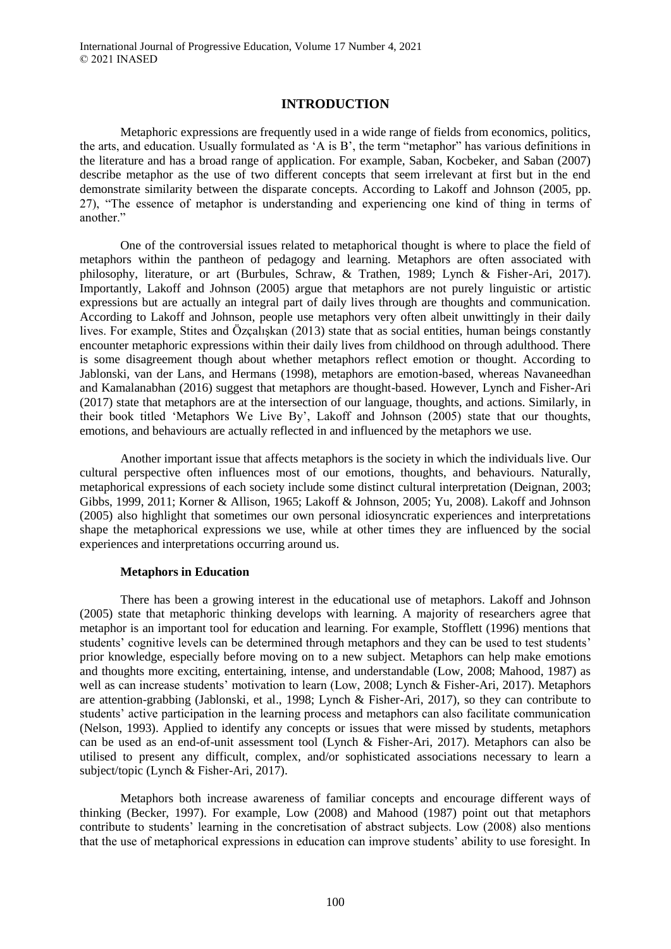# **INTRODUCTION**

Metaphoric expressions are frequently used in a wide range of fields from economics, politics, the arts, and education. Usually formulated as 'A is B', the term "metaphor" has various definitions in the literature and has a broad range of application. For example, Saban, Kocbeker, and Saban (2007) describe metaphor as the use of two different concepts that seem irrelevant at first but in the end demonstrate similarity between the disparate concepts. According to Lakoff and Johnson (2005, pp. 27), "The essence of metaphor is understanding and experiencing one kind of thing in terms of another."

One of the controversial issues related to metaphorical thought is where to place the field of metaphors within the pantheon of pedagogy and learning. Metaphors are often associated with philosophy, literature, or art (Burbules, Schraw, & Trathen, 1989; Lynch & Fisher-Ari, 2017). Importantly, Lakoff and Johnson (2005) argue that metaphors are not purely linguistic or artistic expressions but are actually an integral part of daily lives through are thoughts and communication. According to Lakoff and Johnson, people use metaphors very often albeit unwittingly in their daily lives. For example, Stites and Özçalışkan (2013) state that as social entities, human beings constantly encounter metaphoric expressions within their daily lives from childhood on through adulthood. There is some disagreement though about whether metaphors reflect emotion or thought. According to Jablonski, van der Lans, and Hermans (1998), metaphors are emotion-based, whereas Navaneedhan and Kamalanabhan (2016) suggest that metaphors are thought-based. However, Lynch and Fisher-Ari (2017) state that metaphors are at the intersection of our language, thoughts, and actions. Similarly, in their book titled 'Metaphors We Live By', Lakoff and Johnson (2005) state that our thoughts, emotions, and behaviours are actually reflected in and influenced by the metaphors we use.

Another important issue that affects metaphors is the society in which the individuals live. Our cultural perspective often influences most of our emotions, thoughts, and behaviours. Naturally, metaphorical expressions of each society include some distinct cultural interpretation (Deignan, 2003; Gibbs, 1999, 2011; Korner & Allison, 1965; Lakoff & Johnson, 2005; Yu, 2008). Lakoff and Johnson (2005) also highlight that sometimes our own personal idiosyncratic experiences and interpretations shape the metaphorical expressions we use, while at other times they are influenced by the social experiences and interpretations occurring around us.

### **Metaphors in Education**

There has been a growing interest in the educational use of metaphors. Lakoff and Johnson (2005) state that metaphoric thinking develops with learning. A majority of researchers agree that metaphor is an important tool for education and learning. For example, Stofflett (1996) mentions that students' cognitive levels can be determined through metaphors and they can be used to test students' prior knowledge, especially before moving on to a new subject. Metaphors can help make emotions and thoughts more exciting, entertaining, intense, and understandable (Low, 2008; Mahood, 1987) as well as can increase students' motivation to learn (Low, 2008; Lynch & Fisher-Ari, 2017). Metaphors are attention-grabbing (Jablonski, et al., 1998; Lynch & Fisher-Ari, 2017), so they can contribute to students' active participation in the learning process and metaphors can also facilitate communication (Nelson, 1993). Applied to identify any concepts or issues that were missed by students, metaphors can be used as an end-of-unit assessment tool (Lynch & Fisher-Ari, 2017). Metaphors can also be utilised to present any difficult, complex, and/or sophisticated associations necessary to learn a subject/topic (Lynch & Fisher-Ari, 2017).

Metaphors both increase awareness of familiar concepts and encourage different ways of thinking (Becker, 1997). For example, Low (2008) and Mahood (1987) point out that metaphors contribute to students' learning in the concretisation of abstract subjects. Low (2008) also mentions that the use of metaphorical expressions in education can improve students' ability to use foresight. In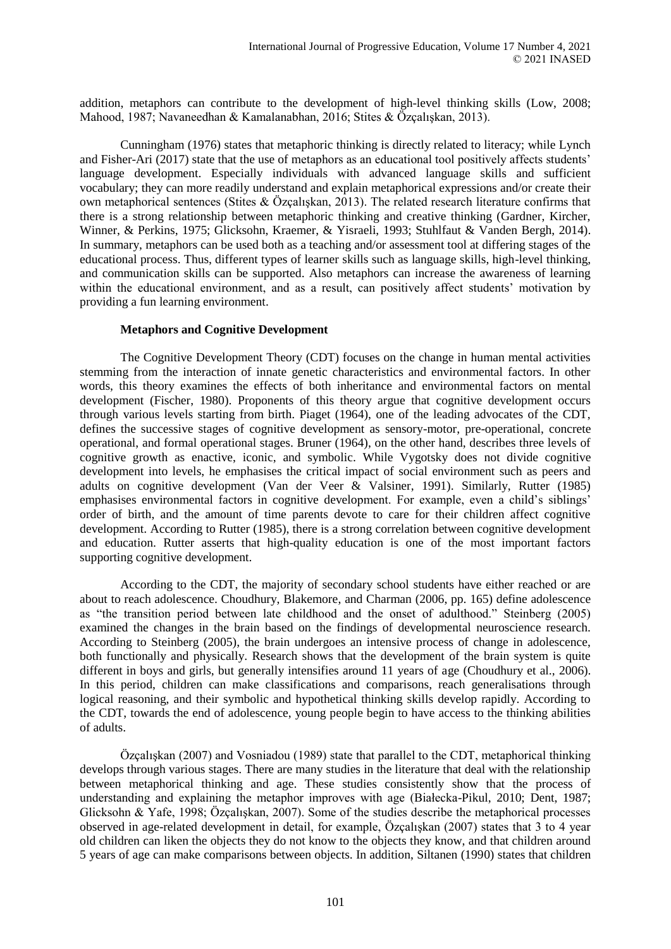addition, metaphors can contribute to the development of high-level thinking skills (Low, 2008; Mahood, 1987; Navaneedhan & Kamalanabhan, 2016; Stites & Özçalışkan, 2013).

Cunningham (1976) states that metaphoric thinking is directly related to literacy; while Lynch and Fisher-Ari (2017) state that the use of metaphors as an educational tool positively affects students' language development. Especially individuals with advanced language skills and sufficient vocabulary; they can more readily understand and explain metaphorical expressions and/or create their own metaphorical sentences (Stites & Özçalışkan, 2013). The related research literature confirms that there is a strong relationship between metaphoric thinking and creative thinking (Gardner, Kircher, Winner, & Perkins, 1975; Glicksohn, Kraemer, & Yisraeli, 1993; Stuhlfaut & Vanden Bergh, 2014). In summary, metaphors can be used both as a teaching and/or assessment tool at differing stages of the educational process. Thus, different types of learner skills such as language skills, high-level thinking, and communication skills can be supported. Also metaphors can increase the awareness of learning within the educational environment, and as a result, can positively affect students' motivation by providing a fun learning environment.

### **Metaphors and Cognitive Development**

The Cognitive Development Theory (CDT) focuses on the change in human mental activities stemming from the interaction of innate genetic characteristics and environmental factors. In other words, this theory examines the effects of both inheritance and environmental factors on mental development (Fischer, 1980). Proponents of this theory argue that cognitive development occurs through various levels starting from birth. Piaget (1964), one of the leading advocates of the CDT, defines the successive stages of cognitive development as sensory-motor, pre-operational, concrete operational, and formal operational stages. Bruner (1964), on the other hand, describes three levels of cognitive growth as enactive, iconic, and symbolic. While Vygotsky does not divide cognitive development into levels, he emphasises the critical impact of social environment such as peers and adults on cognitive development (Van der Veer & Valsiner, 1991). Similarly, Rutter (1985) emphasises environmental factors in cognitive development. For example, even a child's siblings' order of birth, and the amount of time parents devote to care for their children affect cognitive development. According to Rutter (1985), there is a strong correlation between cognitive development and education. Rutter asserts that high-quality education is one of the most important factors supporting cognitive development.

According to the CDT, the majority of secondary school students have either reached or are about to reach adolescence. Choudhury, Blakemore, and Charman (2006, pp. 165) define adolescence as "the transition period between late childhood and the onset of adulthood." Steinberg (2005) examined the changes in the brain based on the findings of developmental neuroscience research. According to Steinberg (2005), the brain undergoes an intensive process of change in adolescence, both functionally and physically. Research shows that the development of the brain system is quite different in boys and girls, but generally intensifies around 11 years of age (Choudhury et al., 2006). In this period, children can make classifications and comparisons, reach generalisations through logical reasoning, and their symbolic and hypothetical thinking skills develop rapidly. According to the CDT, towards the end of adolescence, young people begin to have access to the thinking abilities of adults.

Özçalışkan (2007) and Vosniadou (1989) state that parallel to the CDT, metaphorical thinking develops through various stages. There are many studies in the literature that deal with the relationship between metaphorical thinking and age. These studies consistently show that the process of understanding and explaining the metaphor improves with age (Białecka-Pikul, 2010; Dent, 1987; Glicksohn & Yafe, 1998; Özçalışkan, 2007). Some of the studies describe the metaphorical processes observed in age-related development in detail, for example, Özçalışkan (2007) states that 3 to 4 year old children can liken the objects they do not know to the objects they know, and that children around 5 years of age can make comparisons between objects. In addition, Siltanen (1990) states that children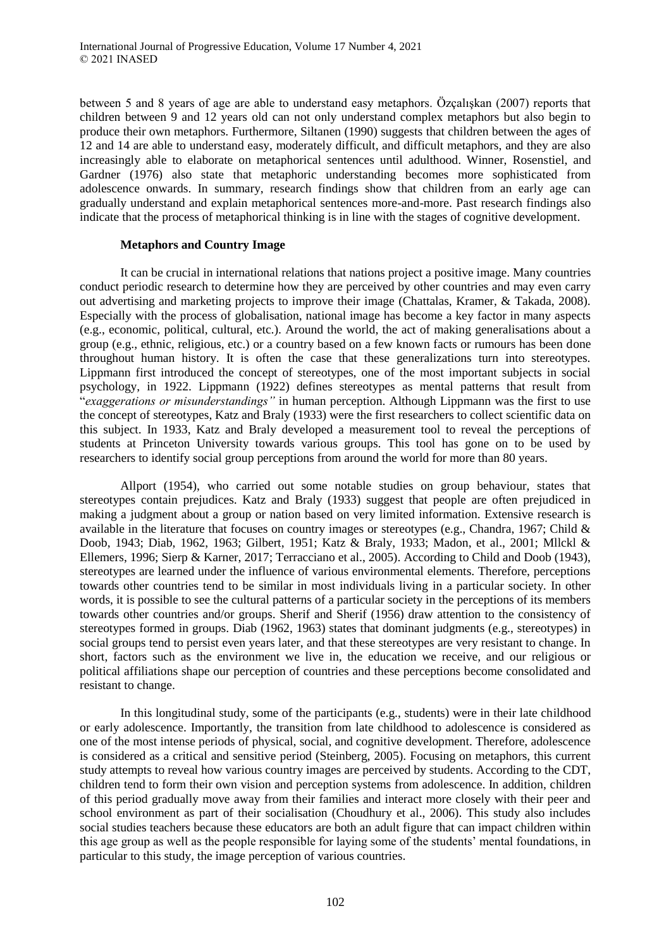between 5 and 8 years of age are able to understand easy metaphors. Özçalışkan (2007) reports that children between 9 and 12 years old can not only understand complex metaphors but also begin to produce their own metaphors. Furthermore, Siltanen (1990) suggests that children between the ages of 12 and 14 are able to understand easy, moderately difficult, and difficult metaphors, and they are also increasingly able to elaborate on metaphorical sentences until adulthood. Winner, Rosenstiel, and Gardner (1976) also state that metaphoric understanding becomes more sophisticated from adolescence onwards. In summary, research findings show that children from an early age can gradually understand and explain metaphorical sentences more-and-more. Past research findings also indicate that the process of metaphorical thinking is in line with the stages of cognitive development.

### **Metaphors and Country Image**

It can be crucial in international relations that nations project a positive image. Many countries conduct periodic research to determine how they are perceived by other countries and may even carry out advertising and marketing projects to improve their image (Chattalas, Kramer, & Takada, 2008). Especially with the process of globalisation, national image has become a key factor in many aspects (e.g., economic, political, cultural, etc.). Around the world, the act of making generalisations about a group (e.g., ethnic, religious, etc.) or a country based on a few known facts or rumours has been done throughout human history. It is often the case that these generalizations turn into stereotypes. Lippmann first introduced the concept of stereotypes, one of the most important subjects in social psychology, in 1922. Lippmann (1922) defines stereotypes as mental patterns that result from "*exaggerations or misunderstandings"* in human perception. Although Lippmann was the first to use the concept of stereotypes, Katz and Braly (1933) were the first researchers to collect scientific data on this subject. In 1933, Katz and Braly developed a measurement tool to reveal the perceptions of students at Princeton University towards various groups. This tool has gone on to be used by researchers to identify social group perceptions from around the world for more than 80 years.

Allport (1954), who carried out some notable studies on group behaviour, states that stereotypes contain prejudices. Katz and Braly (1933) suggest that people are often prejudiced in making a judgment about a group or nation based on very limited information. Extensive research is available in the literature that focuses on country images or stereotypes (e.g., Chandra, 1967; Child & Doob, 1943; Diab, 1962, 1963; Gilbert, 1951; Katz & Braly, 1933; Madon, et al., 2001; Mllckl & Ellemers, 1996; Sierp & Karner, 2017; Terracciano et al., 2005). According to Child and Doob (1943), stereotypes are learned under the influence of various environmental elements. Therefore, perceptions towards other countries tend to be similar in most individuals living in a particular society*.* In other words, it is possible to see the cultural patterns of a particular society in the perceptions of its members towards other countries and/or groups. Sherif and Sherif (1956) draw attention to the consistency of stereotypes formed in groups. Diab (1962, 1963) states that dominant judgments (e.g., stereotypes) in social groups tend to persist even years later, and that these stereotypes are very resistant to change. In short, factors such as the environment we live in, the education we receive, and our religious or political affiliations shape our perception of countries and these perceptions become consolidated and resistant to change.

In this longitudinal study, some of the participants (e.g., students) were in their late childhood or early adolescence. Importantly, the transition from late childhood to adolescence is considered as one of the most intense periods of physical, social, and cognitive development. Therefore, adolescence is considered as a critical and sensitive period (Steinberg, 2005). Focusing on metaphors, this current study attempts to reveal how various country images are perceived by students. According to the CDT, children tend to form their own vision and perception systems from adolescence. In addition, children of this period gradually move away from their families and interact more closely with their peer and school environment as part of their socialisation (Choudhury et al., 2006). This study also includes social studies teachers because these educators are both an adult figure that can impact children within this age group as well as the people responsible for laying some of the students' mental foundations, in particular to this study, the image perception of various countries.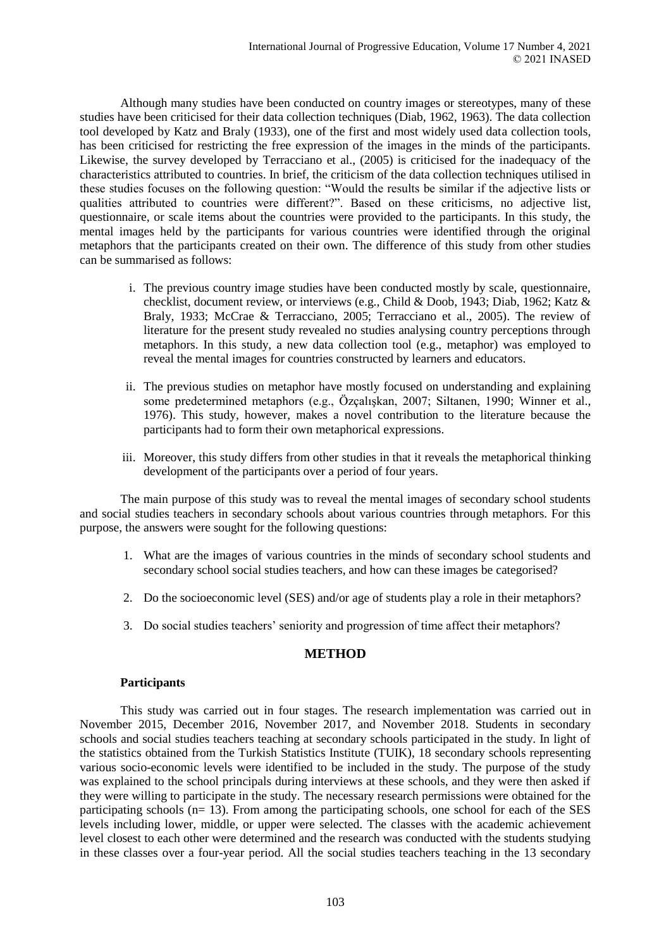Although many studies have been conducted on country images or stereotypes, many of these studies have been criticised for their data collection techniques (Diab, 1962, 1963). The data collection tool developed by Katz and Braly (1933), one of the first and most widely used data collection tools, has been criticised for restricting the free expression of the images in the minds of the participants. Likewise, the survey developed by Terracciano et al., (2005) is criticised for the inadequacy of the characteristics attributed to countries. In brief, the criticism of the data collection techniques utilised in these studies focuses on the following question: "Would the results be similar if the adjective lists or qualities attributed to countries were different?". Based on these criticisms, no adjective list, questionnaire, or scale items about the countries were provided to the participants. In this study, the mental images held by the participants for various countries were identified through the original metaphors that the participants created on their own. The difference of this study from other studies can be summarised as follows:

- i. The previous country image studies have been conducted mostly by scale, questionnaire, checklist, document review, or interviews (e.g., Child & Doob, 1943; Diab, 1962; Katz & Braly, 1933; McCrae & Terracciano, 2005; Terracciano et al., 2005). The review of literature for the present study revealed no studies analysing country perceptions through metaphors. In this study, a new data collection tool (e.g., metaphor) was employed to reveal the mental images for countries constructed by learners and educators.
- ii. The previous studies on metaphor have mostly focused on understanding and explaining some predetermined metaphors (e.g., Özçalışkan, 2007; Siltanen, 1990; Winner et al., 1976). This study, however, makes a novel contribution to the literature because the participants had to form their own metaphorical expressions.
- iii. Moreover, this study differs from other studies in that it reveals the metaphorical thinking development of the participants over a period of four years.

The main purpose of this study was to reveal the mental images of secondary school students and social studies teachers in secondary schools about various countries through metaphors. For this purpose, the answers were sought for the following questions:

- 1. What are the images of various countries in the minds of secondary school students and secondary school social studies teachers, and how can these images be categorised?
- 2. Do the socioeconomic level (SES) and/or age of students play a role in their metaphors?
- 3. Do social studies teachers' seniority and progression of time affect their metaphors?

# **METHOD**

#### **Participants**

This study was carried out in four stages. The research implementation was carried out in November 2015, December 2016, November 2017, and November 2018. Students in secondary schools and social studies teachers teaching at secondary schools participated in the study. In light of the statistics obtained from the Turkish Statistics Institute (TUIK), 18 secondary schools representing various socio-economic levels were identified to be included in the study. The purpose of the study was explained to the school principals during interviews at these schools, and they were then asked if they were willing to participate in the study. The necessary research permissions were obtained for the participating schools  $(n= 13)$ . From among the participating schools, one school for each of the SES levels including lower, middle, or upper were selected. The classes with the academic achievement level closest to each other were determined and the research was conducted with the students studying in these classes over a four-year period. All the social studies teachers teaching in the 13 secondary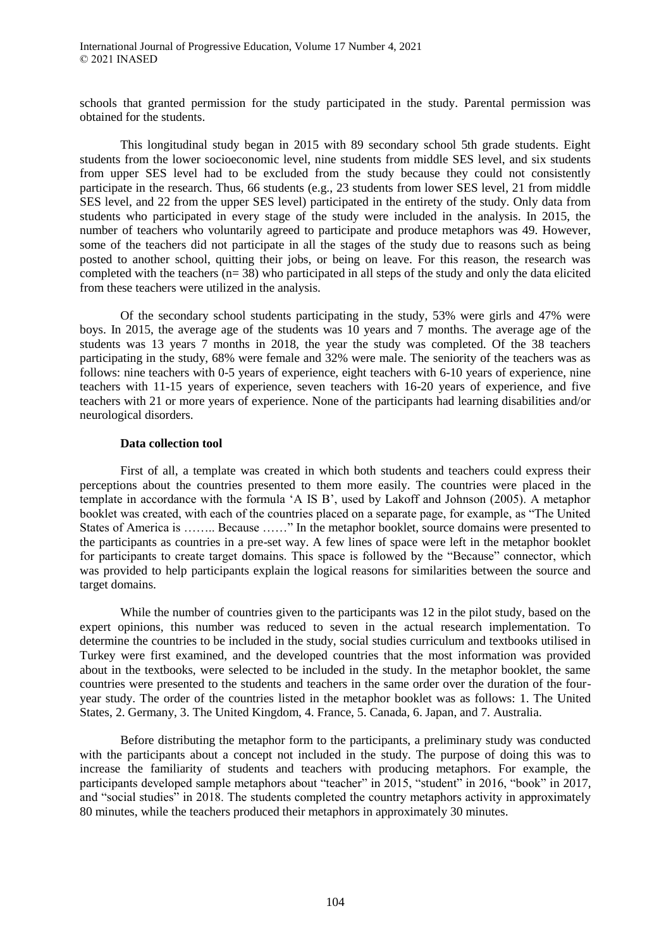schools that granted permission for the study participated in the study. Parental permission was obtained for the students.

This longitudinal study began in 2015 with 89 secondary school 5th grade students. Eight students from the lower socioeconomic level, nine students from middle SES level, and six students from upper SES level had to be excluded from the study because they could not consistently participate in the research. Thus, 66 students (e.g., 23 students from lower SES level, 21 from middle SES level, and 22 from the upper SES level) participated in the entirety of the study. Only data from students who participated in every stage of the study were included in the analysis. In 2015, the number of teachers who voluntarily agreed to participate and produce metaphors was 49. However, some of the teachers did not participate in all the stages of the study due to reasons such as being posted to another school, quitting their jobs, or being on leave. For this reason, the research was completed with the teachers  $(n= 38)$  who participated in all steps of the study and only the data elicited from these teachers were utilized in the analysis.

Of the secondary school students participating in the study, 53% were girls and 47% were boys. In 2015, the average age of the students was 10 years and 7 months. The average age of the students was 13 years 7 months in 2018, the year the study was completed. Of the 38 teachers participating in the study, 68% were female and 32% were male. The seniority of the teachers was as follows: nine teachers with 0-5 years of experience, eight teachers with 6-10 years of experience, nine teachers with 11-15 years of experience, seven teachers with 16-20 years of experience, and five teachers with 21 or more years of experience. None of the participants had learning disabilities and/or neurological disorders.

#### **Data collection tool**

First of all, a template was created in which both students and teachers could express their perceptions about the countries presented to them more easily. The countries were placed in the template in accordance with the formula 'A IS B', used by Lakoff and Johnson (2005). A metaphor booklet was created, with each of the countries placed on a separate page, for example, as "The United States of America is …….. Because ……" In the metaphor booklet, source domains were presented to the participants as countries in a pre-set way. A few lines of space were left in the metaphor booklet for participants to create target domains. This space is followed by the "Because" connector, which was provided to help participants explain the logical reasons for similarities between the source and target domains.

While the number of countries given to the participants was 12 in the pilot study, based on the expert opinions, this number was reduced to seven in the actual research implementation. To determine the countries to be included in the study, social studies curriculum and textbooks utilised in Turkey were first examined, and the developed countries that the most information was provided about in the textbooks, were selected to be included in the study. In the metaphor booklet, the same countries were presented to the students and teachers in the same order over the duration of the fouryear study. The order of the countries listed in the metaphor booklet was as follows: 1. The United States, 2. Germany, 3. The United Kingdom, 4. France, 5. Canada, 6. Japan, and 7. Australia.

Before distributing the metaphor form to the participants, a preliminary study was conducted with the participants about a concept not included in the study. The purpose of doing this was to increase the familiarity of students and teachers with producing metaphors. For example, the participants developed sample metaphors about "teacher" in 2015, "student" in 2016, "book" in 2017, and "social studies" in 2018. The students completed the country metaphors activity in approximately 80 minutes, while the teachers produced their metaphors in approximately 30 minutes.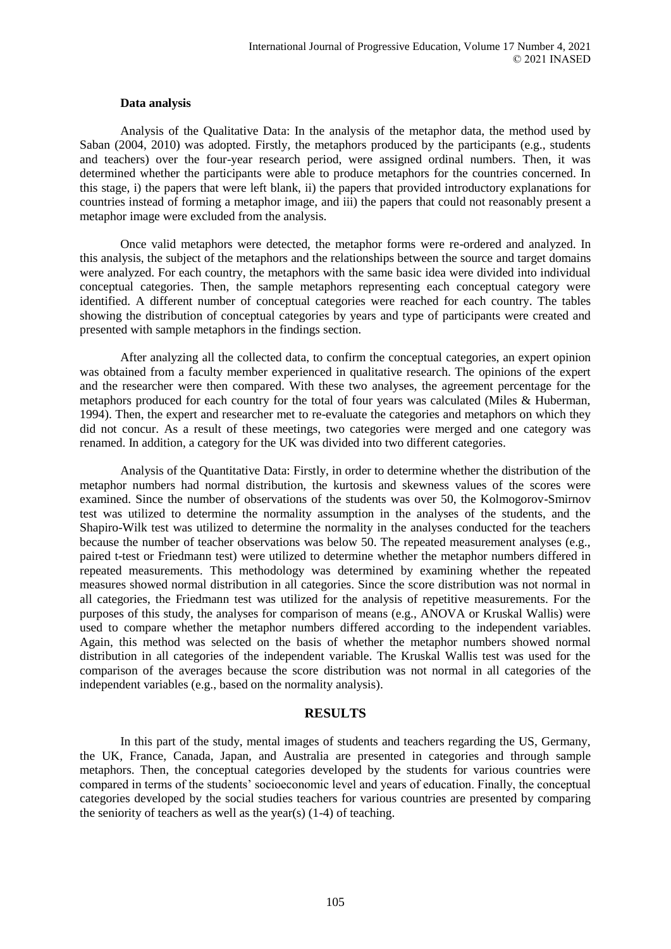#### **Data analysis**

Analysis of the Qualitative Data: In the analysis of the metaphor data, the method used by Saban (2004, 2010) was adopted. Firstly, the metaphors produced by the participants (e.g., students and teachers) over the four-year research period, were assigned ordinal numbers. Then, it was determined whether the participants were able to produce metaphors for the countries concerned. In this stage, i) the papers that were left blank, ii) the papers that provided introductory explanations for countries instead of forming a metaphor image, and iii) the papers that could not reasonably present a metaphor image were excluded from the analysis.

Once valid metaphors were detected, the metaphor forms were re-ordered and analyzed. In this analysis, the subject of the metaphors and the relationships between the source and target domains were analyzed. For each country, the metaphors with the same basic idea were divided into individual conceptual categories. Then, the sample metaphors representing each conceptual category were identified. A different number of conceptual categories were reached for each country. The tables showing the distribution of conceptual categories by years and type of participants were created and presented with sample metaphors in the findings section.

After analyzing all the collected data, to confirm the conceptual categories, an expert opinion was obtained from a faculty member experienced in qualitative research. The opinions of the expert and the researcher were then compared. With these two analyses, the agreement percentage for the metaphors produced for each country for the total of four years was calculated (Miles & Huberman, 1994). Then, the expert and researcher met to re-evaluate the categories and metaphors on which they did not concur. As a result of these meetings, two categories were merged and one category was renamed. In addition, a category for the UK was divided into two different categories.

Analysis of the Quantitative Data: Firstly, in order to determine whether the distribution of the metaphor numbers had normal distribution, the kurtosis and skewness values of the scores were examined. Since the number of observations of the students was over 50, the Kolmogorov-Smirnov test was utilized to determine the normality assumption in the analyses of the students, and the Shapiro-Wilk test was utilized to determine the normality in the analyses conducted for the teachers because the number of teacher observations was below 50. The repeated measurement analyses (e.g., paired t-test or Friedmann test) were utilized to determine whether the metaphor numbers differed in repeated measurements. This methodology was determined by examining whether the repeated measures showed normal distribution in all categories. Since the score distribution was not normal in all categories, the Friedmann test was utilized for the analysis of repetitive measurements. For the purposes of this study, the analyses for comparison of means (e.g., ANOVA or Kruskal Wallis) were used to compare whether the metaphor numbers differed according to the independent variables. Again, this method was selected on the basis of whether the metaphor numbers showed normal distribution in all categories of the independent variable. The Kruskal Wallis test was used for the comparison of the averages because the score distribution was not normal in all categories of the independent variables (e.g., based on the normality analysis).

### **RESULTS**

In this part of the study, mental images of students and teachers regarding the US, Germany, the UK, France, Canada, Japan, and Australia are presented in categories and through sample metaphors. Then, the conceptual categories developed by the students for various countries were compared in terms of the students' socioeconomic level and years of education. Finally, the conceptual categories developed by the social studies teachers for various countries are presented by comparing the seniority of teachers as well as the year(s) (1-4) of teaching.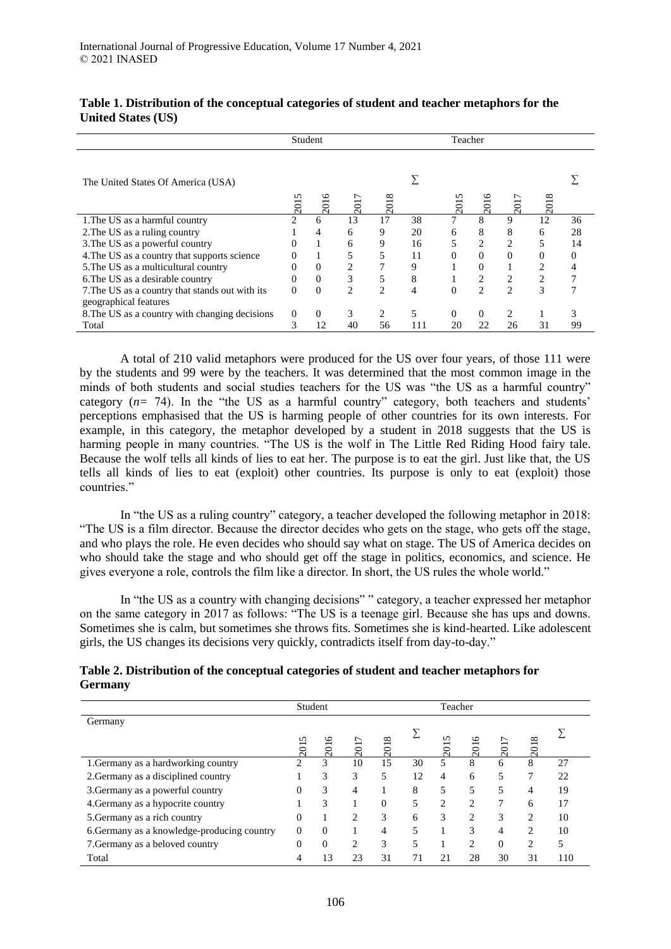|                                                 | Student<br>Teacher          |                  |                |                |     |          |                  |                |      |    |
|-------------------------------------------------|-----------------------------|------------------|----------------|----------------|-----|----------|------------------|----------------|------|----|
| The United States Of America (USA)              |                             |                  |                |                |     |          |                  |                |      |    |
|                                                 | n<br>201                    | $\overline{201}$ | 201            | 201            |     | 201      | $\overline{201}$ | 201            | 2018 |    |
| 1. The US as a harmful country                  | $\mathcal{D}_{\mathcal{A}}$ | 6                | 13             | 17             | 38  | 7        | 8                | 9              | 12   | 36 |
| 2. The US as a ruling country                   |                             | 4                | 6              | 9              | 20  | 6        | 8                | 8              | 6    | 28 |
| 3. The US as a powerful country                 |                             |                  | 6              | 9              | 16  | 5        | $\overline{c}$   | $\overline{2}$ |      | 14 |
| 4. The US as a country that supports science    |                             |                  |                | 5              | 11  | $\theta$ | $\theta$         | $\Omega$       | 0    |    |
| 5. The US as a multicultural country            |                             | $\Omega$         | 2              |                | 9   |          | $\Omega$         |                |      |    |
| 6. The US as a desirable country                | $\Omega$                    | $\Omega$         | 3              | 5              | 8   |          | 2                | $\overline{c}$ |      |    |
| 7. The US as a country that stands out with its | $\Omega$                    | $\theta$         | $\mathfrak{D}$ | $\mathfrak{D}$ | 4   | $\theta$ | $\overline{c}$   | $\mathfrak{D}$ | 3    |    |
| geographical features                           |                             |                  |                |                |     |          |                  |                |      |    |
| 8. The US as a country with changing decisions  | 0                           | $\Omega$         | 3              | $\overline{2}$ | 5   | $\Omega$ | $\Omega$         | $\mathfrak{D}$ |      |    |
| Total                                           |                             | 12               | 40             | 56             | 111 | 20       | 22               | 26             | 31   | 99 |

## **Table 1. Distribution of the conceptual categories of student and teacher metaphors for the United States (US)**

A total of 210 valid metaphors were produced for the US over four years, of those 111 were by the students and 99 were by the teachers. It was determined that the most common image in the minds of both students and social studies teachers for the US was "the US as a harmful country" category (*n=* 74). In the "the US as a harmful country" category, both teachers and students' perceptions emphasised that the US is harming people of other countries for its own interests. For example, in this category, the metaphor developed by a student in 2018 suggests that the US is harming people in many countries. "The US is the wolf in The Little Red Riding Hood fairy tale. Because the wolf tells all kinds of lies to eat her. The purpose is to eat the girl. Just like that, the US tells all kinds of lies to eat (exploit) other countries. Its purpose is only to eat (exploit) those countries."

In "the US as a ruling country" category, a teacher developed the following metaphor in 2018: "The US is a film director. Because the director decides who gets on the stage, who gets off the stage, and who plays the role. He even decides who should say what on stage. The US of America decides on who should take the stage and who should get off the stage in politics, economics, and science. He gives everyone a role, controls the film like a director. In short, the US rules the whole world."

In "the US as a country with changing decisions" " category, a teacher expressed her metaphor on the same category in 2017 as follows: "The US is a teenage girl. Because she has ups and downs. Sometimes she is calm, but sometimes she throws fits. Sometimes she is kind-hearted. Like adolescent girls, the US changes its decisions very quickly, contradicts itself from day-to-day."

### **Table 2. Distribution of the conceptual categories of student and teacher metaphors for Germany**

|                                             | Student<br>Teacher |          |                |          |                          |                |                |          |                |     |
|---------------------------------------------|--------------------|----------|----------------|----------|--------------------------|----------------|----------------|----------|----------------|-----|
| Germany                                     |                    |          |                |          |                          |                |                |          |                |     |
|                                             | S                  |          | ↽              | $\infty$ |                          |                |                |          | $\infty$       |     |
|                                             | 201                | 2016     | 201            | 201      |                          | 201            | 2016           | 2017     | 201            |     |
| 1. Germany as a hardworking country         | 2                  | 3        | 10             | 15       | 30                       | 5              | 8              | 6        | 8              | 27  |
| 2. Germany as a disciplined country         |                    | 3        | 3              | 5        | 12                       | 4              | 6              | 5        | 7              | 22  |
| 3. Germany as a powerful country            | 0                  | 3        | 4              |          | 8                        | 5              | 5              | 5        | 4              | 19  |
| 4. Germany as a hypocrite country           |                    | 3        |                | $\Omega$ |                          | $\mathfrak{D}$ | C              | 7        | 6              | 17  |
| 5. Germany as a rich country                | 0                  |          | $\overline{c}$ | 3        | 6                        | 3              | 2              | 3        | 2              | 10  |
| 6. Germany as a knowledge-producing country | $\theta$           | $\Omega$ |                | 4        | 5                        |                | 3              | 4        | $\overline{c}$ | 10  |
| 7. Germany as a beloved country             | 0                  | $\Omega$ | 2              | 3        | $\overline{\phantom{1}}$ |                | $\overline{c}$ | $\theta$ | 2              | 5   |
| Total                                       | 4                  | 13       | 23             | 31       |                          | 21             | 28             | 30       | 31             | 110 |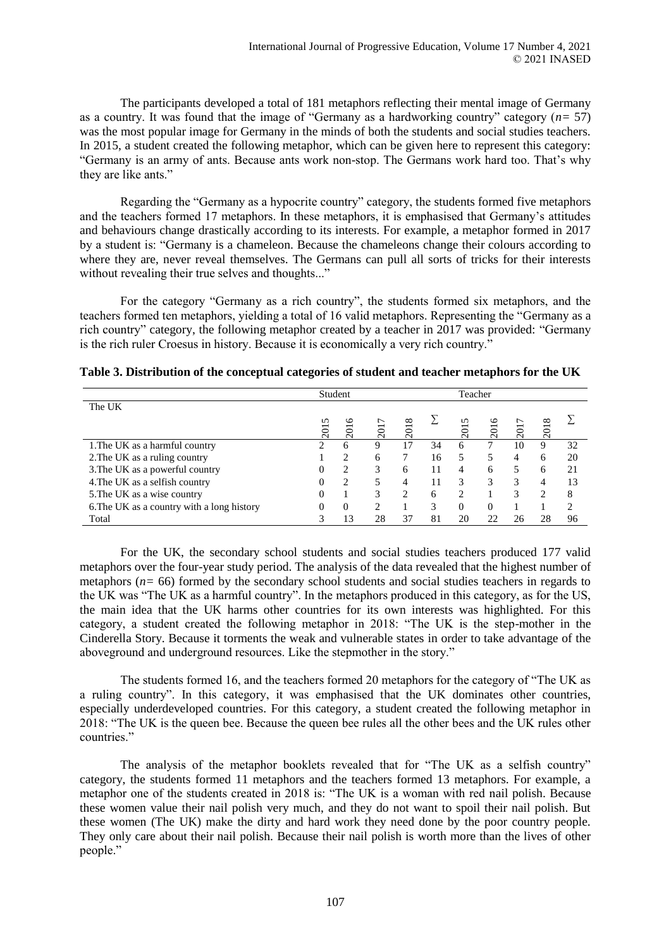The participants developed a total of 181 metaphors reflecting their mental image of Germany as a country. It was found that the image of "Germany as a hardworking country" category (*n=* 57) was the most popular image for Germany in the minds of both the students and social studies teachers. In 2015, a student created the following metaphor, which can be given here to represent this category: "Germany is an army of ants. Because ants work non-stop. The Germans work hard too. That's why they are like ants."

Regarding the "Germany as a hypocrite country" category, the students formed five metaphors and the teachers formed 17 metaphors. In these metaphors, it is emphasised that Germany's attitudes and behaviours change drastically according to its interests. For example, a metaphor formed in 2017 by a student is: "Germany is a chameleon. Because the chameleons change their colours according to where they are, never reveal themselves. The Germans can pull all sorts of tricks for their interests without revealing their true selves and thoughts..."

For the category "Germany as a rich country", the students formed six metaphors, and the teachers formed ten metaphors, yielding a total of 16 valid metaphors. Representing the "Germany as a rich country" category, the following metaphor created by a teacher in 2017 was provided: "Germany is the rich ruler Croesus in history. Because it is economically a very rich country."

|                                            | Student<br>Teacher |                |                               |          |    |                             |     |     |          |    |
|--------------------------------------------|--------------------|----------------|-------------------------------|----------|----|-----------------------------|-----|-----|----------|----|
| The UK                                     |                    |                |                               |          |    |                             |     |     |          |    |
|                                            | n                  |                | $\overline{ }$                | $\infty$ |    | n                           | ৩   |     | $\infty$ |    |
|                                            | 201                | 201            | 201                           | 201      |    | 201                         | 201 | 201 | 201      |    |
| 1. The UK as a harmful country             | ◠                  | 6              | 9                             | 17       | 34 | 6                           |     | 10  | 9        | 32 |
| 2. The UK as a ruling country              |                    | $\mathfrak{D}$ | 6                             |          | 16 | 5                           | 5   | 4   | 6        | 20 |
| 3. The UK as a powerful country            |                    | $\mathfrak{D}$ | 3                             | 6        | 11 | 4                           | 6   | 5   | 6        | 21 |
| 4. The UK as a selfish country             |                    | $\mathfrak{D}$ |                               |          | 11 | 3                           | 3   | 3   | 4        | 13 |
| 5. The UK as a wise country                |                    |                | 3                             | ↑        | 6  | $\mathcal{D}_{\mathcal{A}}$ |     | 3   | ∍        | 8  |
| 6. The UK as a country with a long history | 0                  | $\Omega$       | $\mathfrak{D}_{\mathfrak{p}}$ |          | 3  | 0                           | 0   |     |          | C  |
| Total                                      |                    | 13             | 28                            | 37       | 81 | 20                          |     | 26  | 28       | 96 |

**Table 3. Distribution of the conceptual categories of student and teacher metaphors for the UK**

For the UK, the secondary school students and social studies teachers produced 177 valid metaphors over the four-year study period. The analysis of the data revealed that the highest number of metaphors (*n=* 66) formed by the secondary school students and social studies teachers in regards to the UK was "The UK as a harmful country". In the metaphors produced in this category, as for the US, the main idea that the UK harms other countries for its own interests was highlighted. For this category, a student created the following metaphor in 2018: "The UK is the step-mother in the Cinderella Story. Because it torments the weak and vulnerable states in order to take advantage of the aboveground and underground resources. Like the stepmother in the story."

The students formed 16, and the teachers formed 20 metaphors for the category of "The UK as a ruling country". In this category, it was emphasised that the UK dominates other countries, especially underdeveloped countries. For this category, a student created the following metaphor in 2018: "The UK is the queen bee. Because the queen bee rules all the other bees and the UK rules other countries."

The analysis of the metaphor booklets revealed that for "The UK as a selfish country" category, the students formed 11 metaphors and the teachers formed 13 metaphors. For example, a metaphor one of the students created in 2018 is: "The UK is a woman with red nail polish. Because these women value their nail polish very much, and they do not want to spoil their nail polish. But these women (The UK) make the dirty and hard work they need done by the poor country people. They only care about their nail polish. Because their nail polish is worth more than the lives of other people."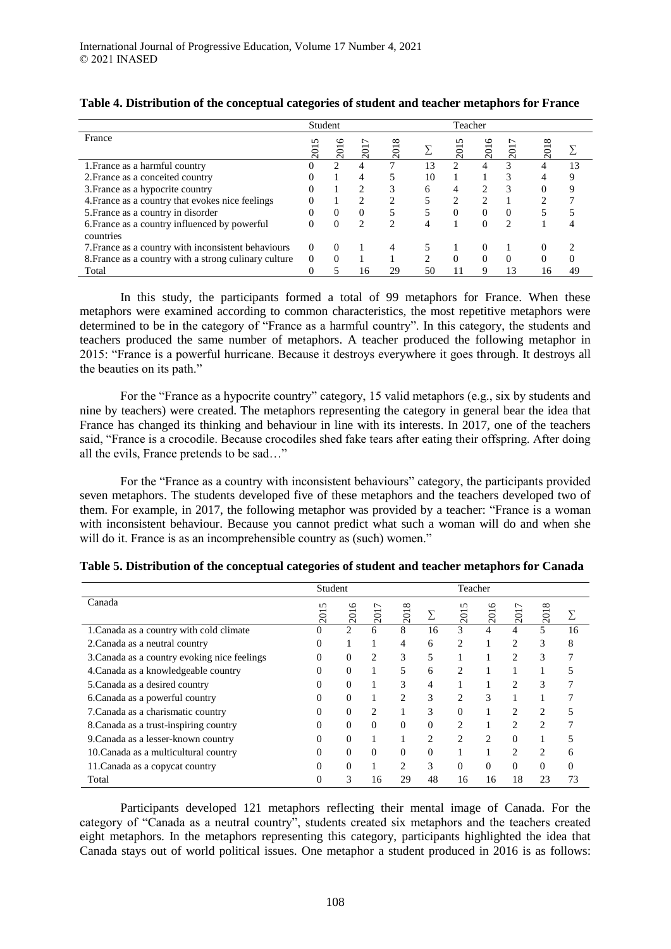|                                                            | Student<br>Teacher |          |                 |                   |    |          |   |                |                   |    |
|------------------------------------------------------------|--------------------|----------|-----------------|-------------------|----|----------|---|----------------|-------------------|----|
| France                                                     | n<br>201           | ७<br>201 | $\overline{20}$ | $^{\circ}$<br>201 |    |          | ७ | 201            | $^{\circ}$<br>201 |    |
| 1. France as a harmful country                             |                    |          |                 |                   | 13 |          |   | 3              |                   | 13 |
| 2. France as a conceited country                           |                    |          |                 |                   | 10 |          |   | 3              |                   |    |
| 3. France as a hypocrite country                           |                    |          | 2               |                   | 6  | 4        |   | 3              |                   |    |
| 4. France as a country that evokes nice feelings           |                    |          | າ               |                   |    | ∍        |   |                |                   |    |
| 5. France as a country in disorder                         |                    | 0        | 0               |                   |    | $\Omega$ | 0 | $\Omega$       |                   |    |
| 6. France as a country influenced by powerful<br>countries |                    | 0        | 2               | ∍                 | 4  |          |   | $\mathfrak{D}$ |                   |    |
| 7. France as a country with inconsistent behaviours        | $\Omega$           | 0        |                 | 4                 |    |          |   |                |                   |    |
| 8. France as a country with a strong culinary culture      | $\Omega$           |          |                 |                   | ↑  | $\Omega$ |   | 0              |                   |    |
| Total                                                      |                    |          | 16              | 29                | 50 |          |   |                | 16                | 49 |

### **Table 4. Distribution of the conceptual categories of student and teacher metaphors for France**

In this study, the participants formed a total of 99 metaphors for France. When these metaphors were examined according to common characteristics, the most repetitive metaphors were determined to be in the category of "France as a harmful country". In this category, the students and teachers produced the same number of metaphors. A teacher produced the following metaphor in 2015: "France is a powerful hurricane. Because it destroys everywhere it goes through. It destroys all the beauties on its path."

For the "France as a hypocrite country" category, 15 valid metaphors (e.g., six by students and nine by teachers) were created. The metaphors representing the category in general bear the idea that France has changed its thinking and behaviour in line with its interests. In 2017, one of the teachers said, "France is a crocodile. Because crocodiles shed fake tears after eating their offspring. After doing all the evils, France pretends to be sad…"

For the "France as a country with inconsistent behaviours" category, the participants provided seven metaphors. The students developed five of these metaphors and the teachers developed two of them. For example, in 2017, the following metaphor was provided by a teacher: "France is a woman with inconsistent behaviour. Because you cannot predict what such a woman will do and when she will do it. France is as an incomprehensible country as (such) women."

|                                              | Student  |                |     |                             |                | Teacher  |                 |                |                     |    |
|----------------------------------------------|----------|----------------|-----|-----------------------------|----------------|----------|-----------------|----------------|---------------------|----|
| Canada                                       | n<br>201 | ७<br>201       | 201 | $\infty$<br>201             |                | n<br>201 | ৩<br><b>201</b> | 201            | ${}^{\circ}$<br>201 |    |
| 1. Canada as a country with cold climate     |          | $\overline{2}$ | 6   | 8                           | 16             | 3        | 4               | 4              | 5                   | 16 |
| 2. Canada as a neutral country               | 0        |                |     | 4                           | 6              | 2        |                 | $\overline{c}$ | 3                   | 8  |
| 3. Canada as a country evoking nice feelings | 0        | 0              | 2   | 3                           | 5              |          |                 | $\overline{c}$ | 3                   |    |
| 4. Canada as a knowledgeable country         | 0        | $\Omega$       |     | 5                           | 6              | 2        |                 |                |                     |    |
| 5. Canada as a desired country               | 0        | 0              |     | 3                           | 4              |          |                 | $\overline{c}$ | 3                   |    |
| 6. Canada as a powerful country              |          | 0              |     | $\mathfrak{D}$              | 3              | 2        | 3               |                |                     |    |
| 7. Canada as a charismatic country           | 0        | 0              | 2   |                             | 3              | $\Omega$ |                 | $\overline{c}$ | 2                   |    |
| 8. Canada as a trust-inspiring country       |          | 0              | 0   | 0                           | 0              | 2        |                 | $\overline{c}$ | $\overline{c}$      |    |
| 9. Canada as a lesser-known country          | 0        | 0              |     |                             | $\overline{c}$ | 2        | 2               | $\Omega$       |                     |    |
| 10. Canada as a multicultural country        |          | 0              | 0   | 0                           | 0              |          |                 | $\mathfrak{D}$ | 2                   |    |
| 11. Canada as a copycat country              | 0        | 0              |     | $\mathcal{D}_{\mathcal{L}}$ | 3              | $\Omega$ | $\theta$        | $\Omega$       | $\Omega$            | 0  |
| Total                                        |          | 3              | 16  | 29                          | 48             | 16       | 16              | 18             | 23                  | 73 |

| Table 5. Distribution of the conceptual categories of student and teacher metaphors for Canada |  |  |  |
|------------------------------------------------------------------------------------------------|--|--|--|
|                                                                                                |  |  |  |

Participants developed 121 metaphors reflecting their mental image of Canada. For the category of "Canada as a neutral country", students created six metaphors and the teachers created eight metaphors. In the metaphors representing this category, participants highlighted the idea that Canada stays out of world political issues. One metaphor a student produced in 2016 is as follows: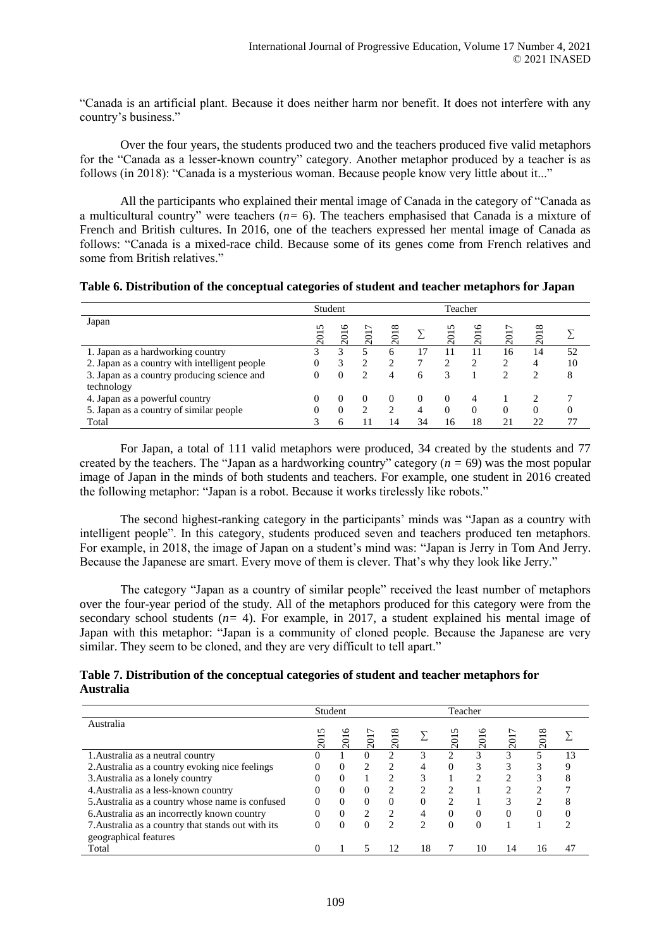"Canada is an artificial plant. Because it does neither harm nor benefit. It does not interfere with any country's business."

Over the four years, the students produced two and the teachers produced five valid metaphors for the "Canada as a lesser-known country" category. Another metaphor produced by a teacher is as follows (in 2018): "Canada is a mysterious woman. Because people know very little about it..."

All the participants who explained their mental image of Canada in the category of "Canada as a multicultural country" were teachers (*n=* 6). The teachers emphasised that Canada is a mixture of French and British cultures. In 2016, one of the teachers expressed her mental image of Canada as follows: "Canada is a mixed-race child. Because some of its genes come from French relatives and some from British relatives."

| Table 6. Distribution of the conceptual categories of student and teacher metaphors for Japan |  |  |  |  |
|-----------------------------------------------------------------------------------------------|--|--|--|--|
|                                                                                               |  |  |  |  |

|                                                           | Student<br>Teacher  |                |                   |               |    |                                     |          |                |                                        |    |
|-----------------------------------------------------------|---------------------|----------------|-------------------|---------------|----|-------------------------------------|----------|----------------|----------------------------------------|----|
| Japan                                                     | n<br>$\overline{5}$ | $\circ$<br>201 | ∼<br>$\bar{\sim}$ | 018<br>$\sim$ |    | 5<br>$\overline{5}$<br>$\bar{\sim}$ | 2016     | $\overline{5}$ | $^{\circ}$<br>$\overline{\phantom{0}}$ |    |
| 1. Japan as a hardworking country                         |                     | 3              |                   | 6             | 17 |                                     |          | 16             | 14                                     | 52 |
| 2. Japan as a country with intelligent people             | 0                   | 3              |                   |               |    |                                     |          |                | 4                                      | 10 |
| 3. Japan as a country producing science and<br>technology | 0                   | $\Omega$       | ↑                 | 4             | 6  |                                     |          | ◠              | ∍                                      | 8  |
| 4. Japan as a powerful country                            |                     | 0              |                   | $\theta$      |    | $\theta$                            | 4        |                |                                        |    |
| 5. Japan as a country of similar people                   | $\mathbf{0}$        | $\Omega$       | ◠                 | ◠             | 4  | $\Omega$                            | $\Omega$ | $\Omega$       | 0                                      |    |
| Total                                                     |                     | 6              |                   | 14            | 34 | 16                                  | 18       | 21             | າາ                                     | 77 |

For Japan, a total of 111 valid metaphors were produced, 34 created by the students and 77 created by the teachers. The "Japan as a hardworking country" category (*n =* 69) was the most popular image of Japan in the minds of both students and teachers. For example, one student in 2016 created the following metaphor: "Japan is a robot. Because it works tirelessly like robots."

The second highest-ranking category in the participants' minds was "Japan as a country with intelligent people". In this category, students produced seven and teachers produced ten metaphors. For example, in 2018, the image of Japan on a student's mind was: "Japan is Jerry in Tom And Jerry. Because the Japanese are smart. Every move of them is clever. That's why they look like Jerry."

The category "Japan as a country of similar people" received the least number of metaphors over the four-year period of the study. All of the metaphors produced for this category were from the secondary school students (*n=* 4). For example, in 2017, a student explained his mental image of Japan with this metaphor: "Japan is a community of cloned people. Because the Japanese are very similar. They seem to be cloned, and they are very difficult to tell apart."

## **Table 7. Distribution of the conceptual categories of student and teacher metaphors for Australia**

|                                                    | Student<br>Teacher |                       |               |                             |                |               |          |    |                       |    |
|----------------------------------------------------|--------------------|-----------------------|---------------|-----------------------------|----------------|---------------|----------|----|-----------------------|----|
| Australia                                          | 201                | ७<br>$\overline{201}$ | ∼<br>201      | ∞<br>$\overline{201}$       |                | 201           | ७<br>201 |    | ∞<br>$\overline{201}$ |    |
| 1. Australia as a neutral country                  | $\theta$           |                       | $\Omega$      | າ                           | 3              | $\mathcal{L}$ | 3        |    |                       | 13 |
| 2. Australia as a country evoking nice feelings    |                    | $\Omega$              | 2             | ↑                           | $\overline{4}$ | $\Omega$      | 3        |    |                       |    |
| 3. Australia as a lonely country                   |                    | $\Omega$              |               | $\mathcal{D}_{\mathcal{A}}$ | 3              |               | ∍        |    | 3                     |    |
| 4. Australia as a less-known country               | 0                  | $\Omega$              | $\Omega$      | ↑                           | 2              | $\mathcal{D}$ |          |    |                       |    |
| 5. Australia as a country whose name is confused   |                    | $\Omega$              | $\Omega$      | $\Omega$                    | $\theta$       | $\mathcal{D}$ |          |    |                       |    |
| 6. Australia as an incorrectly known country       |                    | $\Omega$              | $\mathcal{L}$ | $\mathcal{D}$               | 4              | $\Omega$      | $\Omega$ |    |                       |    |
| 7. Australia as a country that stands out with its |                    | $\Omega$              | $\Omega$      | $\mathcal{L}$               | $\mathcal{D}$  | $\Omega$      | $\Omega$ |    |                       | ◠  |
| geographical features                              |                    |                       |               |                             |                |               |          |    |                       |    |
| Total                                              |                    |                       |               | 12                          | 18             |               | 10       | 14 | 16                    | 47 |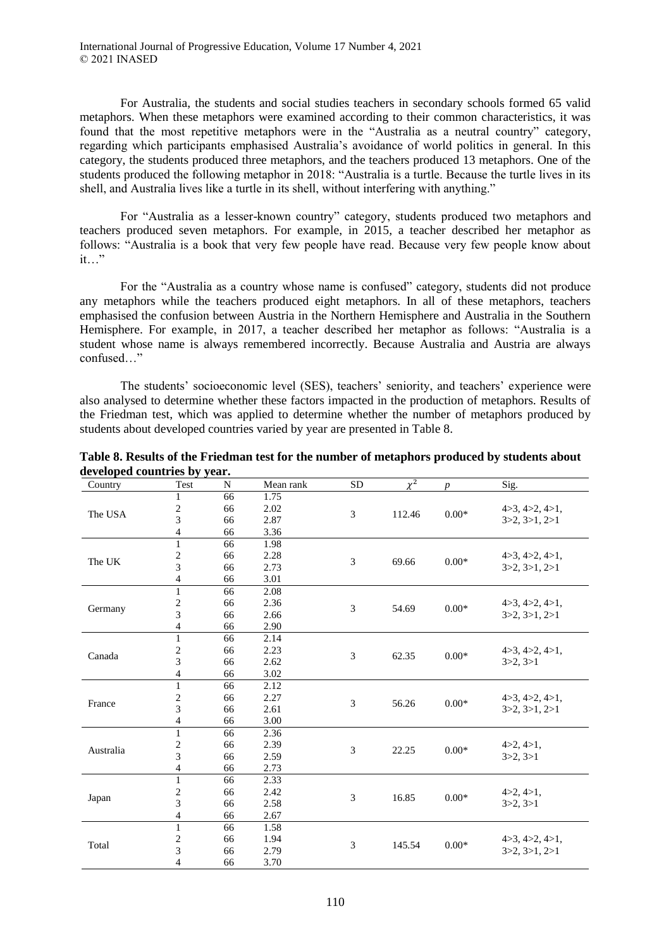International Journal of Progressive Education, Volume 17 Number 4, 2021 © 2021 INASED

For Australia, the students and social studies teachers in secondary schools formed 65 valid metaphors. When these metaphors were examined according to their common characteristics, it was found that the most repetitive metaphors were in the "Australia as a neutral country" category, regarding which participants emphasised Australia's avoidance of world politics in general. In this category, the students produced three metaphors, and the teachers produced 13 metaphors. One of the students produced the following metaphor in 2018: "Australia is a turtle. Because the turtle lives in its shell, and Australia lives like a turtle in its shell, without interfering with anything."

For "Australia as a lesser-known country" category, students produced two metaphors and teachers produced seven metaphors. For example, in 2015, a teacher described her metaphor as follows: "Australia is a book that very few people have read. Because very few people know about it…"

For the "Australia as a country whose name is confused" category, students did not produce any metaphors while the teachers produced eight metaphors. In all of these metaphors, teachers emphasised the confusion between Austria in the Northern Hemisphere and Australia in the Southern Hemisphere. For example, in 2017, a teacher described her metaphor as follows: "Australia is a student whose name is always remembered incorrectly. Because Australia and Austria are always confused…"

The students' socioeconomic level (SES), teachers' seniority, and teachers' experience were also analysed to determine whether these factors impacted in the production of metaphors. Results of the Friedman test, which was applied to determine whether the number of metaphors produced by students about developed countries varied by year are presented in Table 8.

| Country   | Test                     | N  | Mean rank | <b>SD</b>              | $\chi^2$ | $\boldsymbol{p}$     | Sig.           |               |
|-----------|--------------------------|----|-----------|------------------------|----------|----------------------|----------------|---------------|
|           | 1                        | 66 | 1.75      |                        |          |                      |                |               |
|           | $\frac{2}{3}$            | 66 | 2.02      | 3                      | 112.46   | $0.00*$              | 4>3, 4>2, 4>1, |               |
| The USA   |                          | 66 | 2.87      |                        |          |                      | 3>2, 3>1, 2>1  |               |
|           | $\overline{\mathcal{L}}$ | 66 | 3.36      |                        |          |                      |                |               |
|           | $\mathbf{1}$             | 66 | 1.98      |                        |          |                      |                |               |
| The UK    | $\overline{c}$           | 66 | 2.28      | 3                      | 69.66    | $0.00*$              | 4>3, 4>2, 4>1, |               |
|           | 3                        | 66 | 2.73      |                        |          |                      | 3>2, 3>1, 2>1  |               |
|           | 4                        | 66 | 3.01      |                        |          |                      |                |               |
|           | $\,1$                    | 66 | 2.08      |                        |          |                      |                |               |
| Germany   | $\frac{2}{3}$            | 66 | 2.36      | 3                      | 54.69    | $0.00*$              | 4>3, 4>2, 4>1, |               |
|           |                          | 66 | 2.66      |                        |          |                      | 3>2, 3>1, 2>1  |               |
|           | 4                        | 66 | 2.90      |                        |          |                      |                |               |
|           | $\mathbf{1}$             | 66 | 2.14      |                        |          |                      |                |               |
| Canada    | $\overline{c}$           | 66 | 2.23      | 3                      | 62.35    | $0.00*$              | 4>3, 4>2, 4>1, |               |
|           | 3<br>66<br>2.62          |    |           | 3>2, 3>1               |          |                      |                |               |
|           | 4<br>66<br>3.02          |    |           |                        |          |                      |                |               |
|           | $\overline{1}$           | 66 | 2.12      |                        |          |                      |                |               |
| France    | $\overline{c}$           | 66 | 2.27      | 3                      | 56.26    | $0.00*$              | 4>3, 4>2, 4>1, |               |
|           | 3                        | 66 | 2.61      |                        |          |                      | 3>2, 3>1, 2>1  |               |
|           | 4                        | 66 | 3.00      |                        |          |                      |                |               |
|           | $\mathbf{1}$             | 66 | 2.36      |                        |          |                      |                |               |
| Australia | $\overline{\mathbf{c}}$  | 66 | 2.39      | 3                      | 22.25    | $0.00*$              | 4 > 2, 4 > 1,  |               |
|           | 3                        | 66 | 2.59      |                        |          |                      | 3 > 2, 3 > 1   |               |
|           | 4                        | 66 | 2.73      |                        |          |                      |                |               |
|           | $\,1$                    | 66 | 2.33      |                        |          |                      |                |               |
|           | $\overline{\mathbf{c}}$  | 66 | 2.42      | 3                      | 16.85    | $0.00*$              | 4 > 2, 4 > 1,  |               |
| Japan     | 3                        | 66 | 2.58      |                        |          |                      | 3 > 2, 3 > 1   |               |
|           | 4                        | 66 | 2.67      |                        |          |                      |                |               |
|           | $\,1$                    | 66 | 1.58      |                        |          |                      |                |               |
| Total     | $\overline{\mathbf{c}}$  | 66 | 1.94      | $0.00*$<br>3<br>145.54 |          | 4 > 3, 4 > 2, 4 > 1, |                |               |
|           | 3                        | 66 | 2.79      |                        |          |                      |                | 3>2, 3>1, 2>1 |
|           | $\overline{4}$           | 66 | 3.70      |                        |          |                      |                |               |

**Table 8. Results of the Friedman test for the number of metaphors produced by students about developed countries by year.**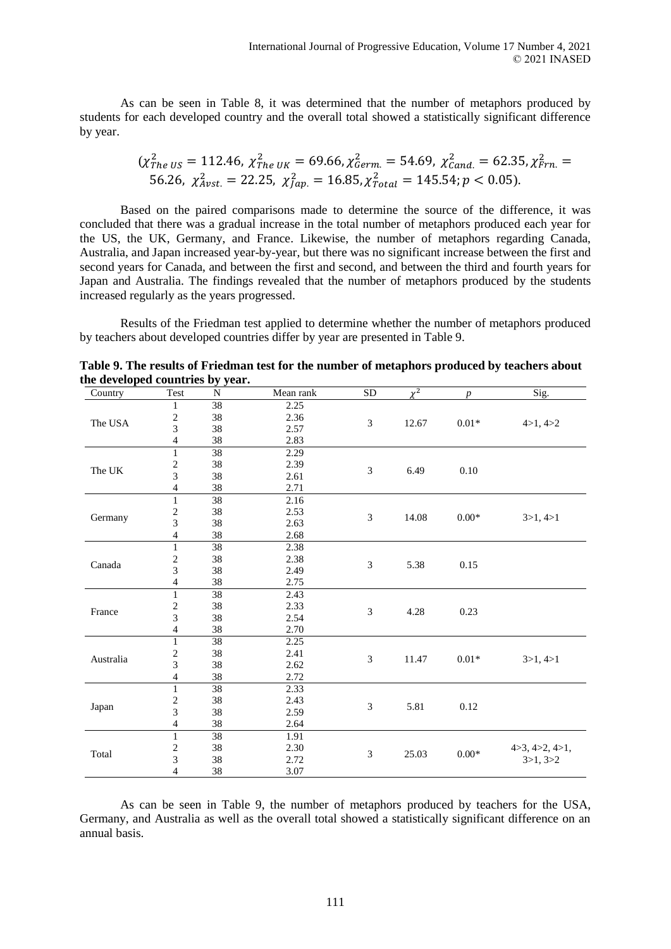As can be seen in Table 8, it was determined that the number of metaphors produced by students for each developed country and the overall total showed a statistically significant difference by year.

$$
(\chi_{The\;US}^2 = 112.46, \; \chi_{The\;UK}^2 = 69.66, \chi_{germ}^2 = 54.69, \; \chi_{Cand.}^2 = 62.35, \chi_{Frn.}^2 = 56.26, \; \chi_{Avst.}^2 = 22.25, \; \chi_{Jap.}^2 = 16.85, \chi_{Total}^2 = 145.54; p < 0.05).
$$

Based on the paired comparisons made to determine the source of the difference, it was concluded that there was a gradual increase in the total number of metaphors produced each year for the US, the UK, Germany, and France. Likewise, the number of metaphors regarding Canada, Australia, and Japan increased year-by-year, but there was no significant increase between the first and second years for Canada, and between the first and second, and between the third and fourth years for Japan and Australia. The findings revealed that the number of metaphors produced by the students increased regularly as the years progressed.

Results of the Friedman test applied to determine whether the number of metaphors produced by teachers about developed countries differ by year are presented in Table 9.

| Country   | Test                    | N               | Mean rank         | ${\rm SD}$     | $\gamma^2$ | $\boldsymbol{p}$ | Sig.                 |
|-----------|-------------------------|-----------------|-------------------|----------------|------------|------------------|----------------------|
|           | $\mathbf{1}$            | 38              | 2.25              |                |            |                  |                      |
|           | $\boldsymbol{2}$        | 38              | 2.36              | $\mathfrak{Z}$ | 12.67      | $0.01*$          |                      |
| The USA   | 3                       | 38              | 2.57              |                |            |                  | 4 > 1, 4 > 2         |
|           | $\overline{\mathbf{4}}$ | 38              | 2.83              |                |            |                  |                      |
|           | $\mathbf{1}$            | $\overline{38}$ | 2.29              |                |            |                  |                      |
|           | $\overline{\mathbf{c}}$ | 38              | 2.39              |                |            |                  |                      |
| The UK    | 3                       | 38              | 2.61              | 3              | 6.49       | $0.10\,$         |                      |
|           | 4                       | 38              | 2.71              |                |            |                  |                      |
|           | $\mathbf{1}$            | 38              | 2.16              |                |            |                  |                      |
|           | $\sqrt{2}$              | 38              | 2.53              |                |            |                  |                      |
| Germany   | 3                       | 38              | 2.63              | $\mathfrak 3$  | 14.08      | $0.00*$          | 3>1, 4>1             |
|           | $\overline{4}$          | 38              | 2.68              |                |            |                  |                      |
|           | $\mathbf{1}$            | 38              | 2.38              |                |            |                  |                      |
|           | $\overline{\mathbf{c}}$ | 38              | 2.38              |                |            |                  |                      |
| Canada    | 3                       | 38              | 2.49              | $\mathfrak{Z}$ | 5.38       | 0.15             |                      |
|           | 4                       | 38              | 2.75              |                |            |                  |                      |
|           | $\mathbf 1$             | 38              | 2.43              |                |            |                  |                      |
|           | $\overline{\mathbf{c}}$ | 38              | 2.33              |                |            |                  |                      |
| France    | 3                       | 38              | 2.54              | $\mathfrak 3$  | 4.28       | 0.23             |                      |
|           | $\overline{4}$          | 38              | 2.70              |                |            |                  |                      |
|           | $\mathbf{1}$            | 38              | 2.25              |                |            |                  |                      |
|           | $\overline{\mathbf{c}}$ | 38              | 2.41              | $\mathfrak{Z}$ |            |                  |                      |
| Australia | $\overline{3}$          | 38              | 2.62              |                | 11.47      | $0.01*$          | 3>1, 4>1             |
|           | 4                       | 38              | 2.72              |                |            |                  |                      |
|           | $\mathbf{1}$            | 38              | $2.\overline{33}$ |                |            |                  |                      |
|           | $\overline{\mathbf{c}}$ | 38              | 2.43              |                |            |                  |                      |
| Japan     | 3                       | 38              | 2.59              | $\mathfrak{Z}$ | 5.81       | 0.12             |                      |
|           | $\overline{\mathbf{4}}$ | 38              | 2.64              |                |            |                  |                      |
|           | $\mathbf{1}$            | 38              | 1.91              |                |            |                  |                      |
|           | $\overline{2}$          | 38              | 2.30              |                |            |                  | 4 > 3, 4 > 2, 4 > 1, |
| Total     | 3                       | 38              | 2.72              | 3              | 25.03      | $0.00\mathrm{*}$ | 3>1, 3>2             |
|           | 4                       | 38              | 3.07              |                |            |                  |                      |

**Table 9. The results of Friedman test for the number of metaphors produced by teachers about the developed countries by year.**

As can be seen in Table 9, the number of metaphors produced by teachers for the USA, Germany, and Australia as well as the overall total showed a statistically significant difference on an annual basis.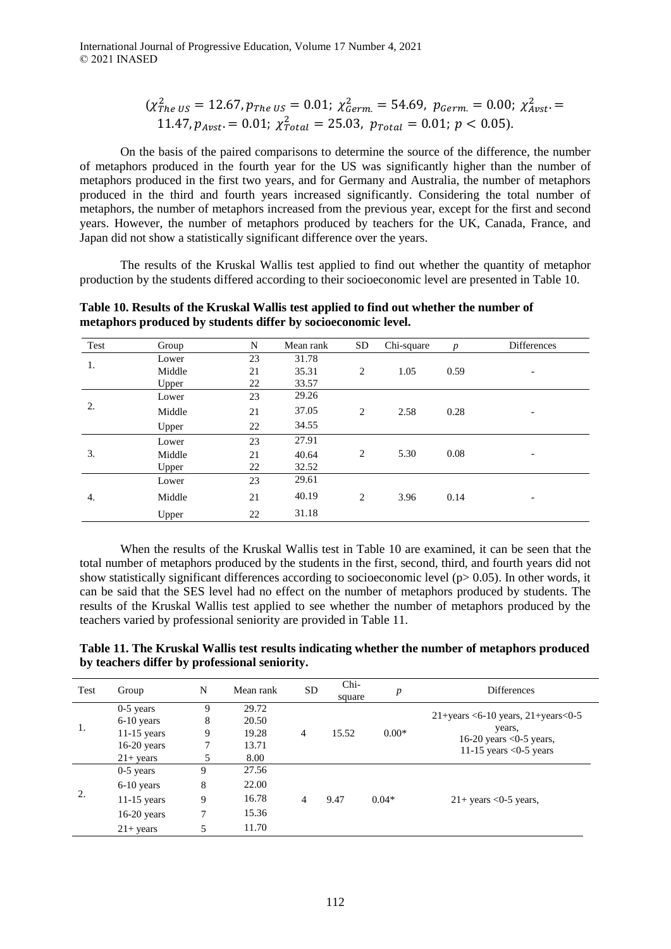International Journal of Progressive Education, Volume 17 Number 4, 2021 © 2021 INASED

$$
(\chi_{The\;US}^2 = 12.67, p_{The\;US} = 0.01; \; \chi_{German}^2 = 54.69, \; p_{German} = 0.00; \; \chi_{Avst}^2 = 11.47, p_{Avst} = 0.01; \; \chi_{Total}^2 = 25.03, \; p_{Total} = 0.01; \; p < 0.05).
$$

On the basis of the paired comparisons to determine the source of the difference, the number of metaphors produced in the fourth year for the US was significantly higher than the number of metaphors produced in the first two years, and for Germany and Australia, the number of metaphors produced in the third and fourth years increased significantly. Considering the total number of metaphors, the number of metaphors increased from the previous year, except for the first and second years. However, the number of metaphors produced by teachers for the UK, Canada, France, and Japan did not show a statistically significant difference over the years.

The results of the Kruskal Wallis test applied to find out whether the quantity of metaphor production by the students differed according to their socioeconomic level are presented in Table 10.

| Test | Group  | N  | Mean rank | <b>SD</b> | Chi-square | $\boldsymbol{p}$ | <b>Differences</b>       |
|------|--------|----|-----------|-----------|------------|------------------|--------------------------|
|      | Lower  | 23 | 31.78     |           |            |                  |                          |
| 1.   | Middle | 21 | 35.31     | 2         | 1.05       | 0.59             | $\overline{\phantom{a}}$ |
|      | Upper  | 22 | 33.57     |           |            |                  |                          |
|      | Lower  | 23 | 29.26     |           |            |                  |                          |
| 2.   | Middle | 21 | 37.05     | 2         | 2.58       | 0.28             | $\overline{\phantom{a}}$ |
|      | Upper  | 22 | 34.55     |           |            |                  |                          |
|      | Lower  | 23 | 27.91     |           |            |                  |                          |
| 3.   | Middle | 21 | 40.64     | 2         | 5.30       | 0.08             | $\overline{\phantom{a}}$ |
|      | Upper  | 22 | 32.52     |           |            |                  |                          |
|      | Lower  | 23 | 29.61     |           |            |                  |                          |
| 4.   | Middle | 21 | 40.19     | 2         | 3.96       | 0.14             | $\overline{\phantom{a}}$ |
|      | Upper  | 22 | 31.18     |           |            |                  |                          |

**Table 10. Results of the Kruskal Wallis test applied to find out whether the number of metaphors produced by students differ by socioeconomic level.**

When the results of the Kruskal Wallis test in Table 10 are examined, it can be seen that the total number of metaphors produced by the students in the first, second, third, and fourth years did not show statistically significant differences according to socioeconomic level ( $p > 0.05$ ). In other words, it can be said that the SES level had no effect on the number of metaphors produced by students. The results of the Kruskal Wallis test applied to see whether the number of metaphors produced by the teachers varied by professional seniority are provided in Table 11.

**Table 11. The Kruskal Wallis test results indicating whether the number of metaphors produced by teachers differ by professional seniority.**

| Test | Group               | N | Mean rank | <b>SD</b>      | Chi-<br>square | $\boldsymbol{p}$ | <b>Differences</b>                                                                                                                            |
|------|---------------------|---|-----------|----------------|----------------|------------------|-----------------------------------------------------------------------------------------------------------------------------------------------|
| 1.   | $0-5$ years         | 9 | 29.72     | $\overline{4}$ | 15.52          | $0.00*$          | $21 + \text{years} < 6 - 10 \text{ years}$ , $21 + \text{years} < 0 - 5$<br>years,<br>16-20 years $<$ 0-5 years,<br>11-15 years $<$ 0-5 years |
|      | $6-10$ years        | 8 | 20.50     |                |                |                  |                                                                                                                                               |
|      | $11-15$ years       | 9 | 19.28     |                |                |                  |                                                                                                                                               |
|      | $16-20$ years       |   | 13.71     |                |                |                  |                                                                                                                                               |
|      | $21 + years$        |   | 8.00      |                |                |                  |                                                                                                                                               |
| 2.   | $0-5$ years         | 9 | 27.56     | 4              | 9.47           | $0.04*$          | $21+$ years <0-5 years,                                                                                                                       |
|      | $6-10$ years        | 8 | 22.00     |                |                |                  |                                                                                                                                               |
|      | $11-15$ years       | 9 | 16.78     |                |                |                  |                                                                                                                                               |
|      | $16-20$ years       | 7 | 15.36     |                |                |                  |                                                                                                                                               |
|      | $21 + \text{years}$ |   | 11.70     |                |                |                  |                                                                                                                                               |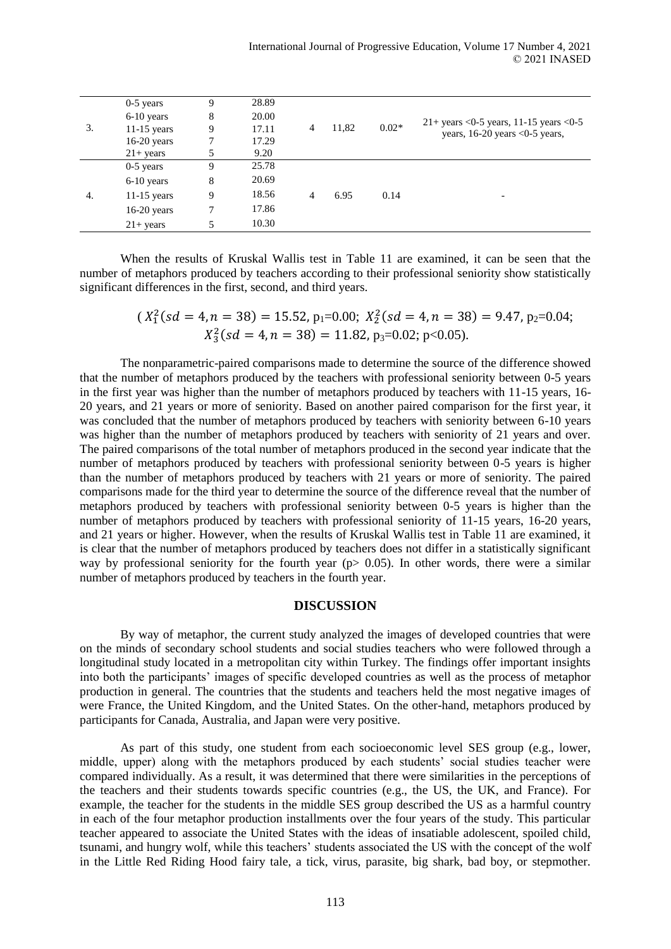|    | $0-5$ years         | 9 | 28.89 | 4 | 11,82 | $0.02*$ | $21+ \text{ years} < 0.5 \text{ years}, 11-15 \text{ years} < 0.5$<br>years, $16-20$ years <0-5 years, |
|----|---------------------|---|-------|---|-------|---------|--------------------------------------------------------------------------------------------------------|
|    | $6-10$ years        | 8 | 20.00 |   |       |         |                                                                                                        |
| 3. | $11-15$ years       | 9 | 17.11 |   |       |         |                                                                                                        |
|    | $16-20$ years       |   | 17.29 |   |       |         |                                                                                                        |
|    | $21 + \text{years}$ |   | 9.20  |   |       |         |                                                                                                        |
|    | $0-5$ years         | 9 | 25.78 | 4 | 6.95  | 0.14    |                                                                                                        |
|    | $6-10$ years        | 8 | 20.69 |   |       |         |                                                                                                        |
| 4. | $11-15$ years       | 9 | 18.56 |   |       |         | $\overline{\phantom{0}}$                                                                               |
|    | $16-20$ years       |   | 17.86 |   |       |         |                                                                                                        |
|    | $21 + years$        | 5 | 10.30 |   |       |         |                                                                                                        |

When the results of Kruskal Wallis test in Table 11 are examined, it can be seen that the number of metaphors produced by teachers according to their professional seniority show statistically significant differences in the first, second, and third years.

$$
(X_1^2(sd = 4, n = 38) = 15.52, p_1 = 0.00; X_2^2(sd = 4, n = 38) = 9.47, p_2 = 0.04; X_3^2(sd = 4, n = 38) = 11.82, p_3 = 0.02; p < 0.05).
$$

The nonparametric-paired comparisons made to determine the source of the difference showed that the number of metaphors produced by the teachers with professional seniority between 0-5 years in the first year was higher than the number of metaphors produced by teachers with 11-15 years, 16- 20 years, and 21 years or more of seniority. Based on another paired comparison for the first year, it was concluded that the number of metaphors produced by teachers with seniority between 6-10 years was higher than the number of metaphors produced by teachers with seniority of 21 years and over. The paired comparisons of the total number of metaphors produced in the second year indicate that the number of metaphors produced by teachers with professional seniority between 0-5 years is higher than the number of metaphors produced by teachers with 21 years or more of seniority. The paired comparisons made for the third year to determine the source of the difference reveal that the number of metaphors produced by teachers with professional seniority between 0-5 years is higher than the number of metaphors produced by teachers with professional seniority of 11-15 years, 16-20 years, and 21 years or higher. However, when the results of Kruskal Wallis test in Table 11 are examined, it is clear that the number of metaphors produced by teachers does not differ in a statistically significant way by professional seniority for the fourth year ( $p$  is 0.05). In other words, there were a similar number of metaphors produced by teachers in the fourth year.

### **DISCUSSION**

By way of metaphor, the current study analyzed the images of developed countries that were on the minds of secondary school students and social studies teachers who were followed through a longitudinal study located in a metropolitan city within Turkey. The findings offer important insights into both the participants' images of specific developed countries as well as the process of metaphor production in general. The countries that the students and teachers held the most negative images of were France, the United Kingdom, and the United States. On the other-hand, metaphors produced by participants for Canada, Australia, and Japan were very positive.

As part of this study, one student from each socioeconomic level SES group (e.g., lower, middle, upper) along with the metaphors produced by each students' social studies teacher were compared individually. As a result, it was determined that there were similarities in the perceptions of the teachers and their students towards specific countries (e.g., the US, the UK, and France). For example, the teacher for the students in the middle SES group described the US as a harmful country in each of the four metaphor production installments over the four years of the study. This particular teacher appeared to associate the United States with the ideas of insatiable adolescent, spoiled child, tsunami, and hungry wolf, while this teachers' students associated the US with the concept of the wolf in the Little Red Riding Hood fairy tale, a tick, virus, parasite, big shark, bad boy, or stepmother.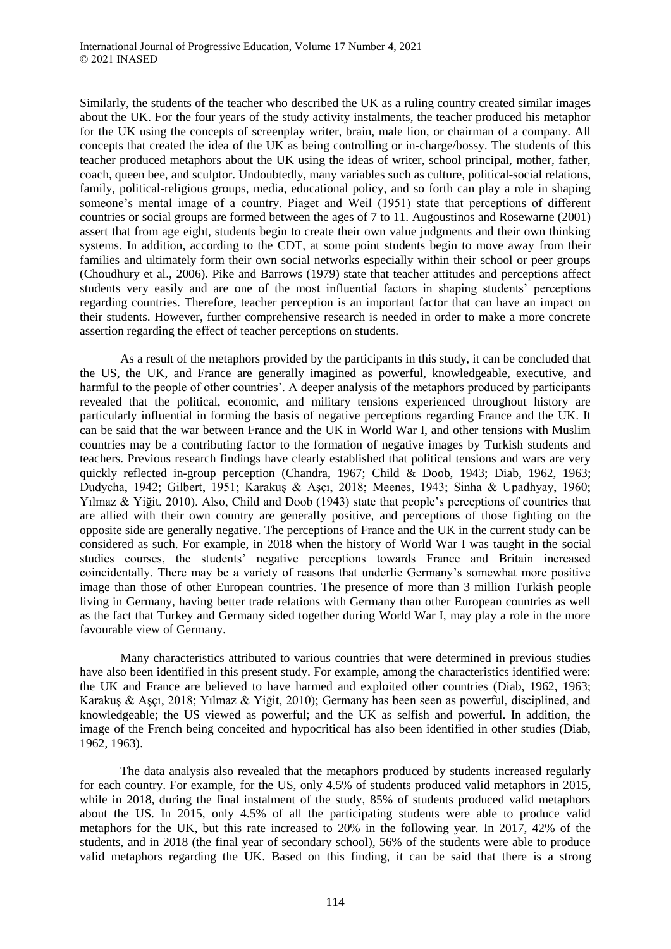Similarly, the students of the teacher who described the UK as a ruling country created similar images about the UK. For the four years of the study activity instalments, the teacher produced his metaphor for the UK using the concepts of screenplay writer, brain, male lion, or chairman of a company. All concepts that created the idea of the UK as being controlling or in-charge/bossy. The students of this teacher produced metaphors about the UK using the ideas of writer, school principal, mother, father, coach, queen bee, and sculptor. Undoubtedly, many variables such as culture, political-social relations, family, political-religious groups, media, educational policy, and so forth can play a role in shaping someone's mental image of a country. Piaget and Weil (1951) state that perceptions of different countries or social groups are formed between the ages of 7 to 11. Augoustinos and Rosewarne (2001) assert that from age eight, students begin to create their own value judgments and their own thinking systems. In addition, according to the CDT, at some point students begin to move away from their families and ultimately form their own social networks especially within their school or peer groups (Choudhury et al., 2006). Pike and Barrows (1979) state that teacher attitudes and perceptions affect students very easily and are one of the most influential factors in shaping students' perceptions regarding countries. Therefore, teacher perception is an important factor that can have an impact on their students. However, further comprehensive research is needed in order to make a more concrete assertion regarding the effect of teacher perceptions on students.

As a result of the metaphors provided by the participants in this study, it can be concluded that the US, the UK, and France are generally imagined as powerful, knowledgeable, executive, and harmful to the people of other countries'. A deeper analysis of the metaphors produced by participants revealed that the political, economic, and military tensions experienced throughout history are particularly influential in forming the basis of negative perceptions regarding France and the UK. It can be said that the war between France and the UK in World War I, and other tensions with Muslim countries may be a contributing factor to the formation of negative images by Turkish students and teachers. Previous research findings have clearly established that political tensions and wars are very quickly reflected in-group perception (Chandra, 1967; Child & Doob, 1943; Diab, 1962, 1963; Dudycha, 1942; Gilbert, 1951; Karakuş & Aşçı, 2018; Meenes, 1943; Sinha & Upadhyay, 1960; Yılmaz & Yiğit, 2010). Also, Child and Doob (1943) state that people's perceptions of countries that are allied with their own country are generally positive, and perceptions of those fighting on the opposite side are generally negative. The perceptions of France and the UK in the current study can be considered as such. For example, in 2018 when the history of World War I was taught in the social studies courses, the students' negative perceptions towards France and Britain increased coincidentally. There may be a variety of reasons that underlie Germany's somewhat more positive image than those of other European countries. The presence of more than 3 million Turkish people living in Germany, having better trade relations with Germany than other European countries as well as the fact that Turkey and Germany sided together during World War I, may play a role in the more favourable view of Germany.

Many characteristics attributed to various countries that were determined in previous studies have also been identified in this present study. For example, among the characteristics identified were: the UK and France are believed to have harmed and exploited other countries (Diab, 1962, 1963; Karakuş & Aşçı, 2018; Yılmaz & Yiğit, 2010); Germany has been seen as powerful, disciplined, and knowledgeable; the US viewed as powerful; and the UK as selfish and powerful. In addition, the image of the French being conceited and hypocritical has also been identified in other studies (Diab, 1962, 1963).

The data analysis also revealed that the metaphors produced by students increased regularly for each country. For example, for the US, only 4.5% of students produced valid metaphors in 2015, while in 2018, during the final instalment of the study, 85% of students produced valid metaphors about the US. In 2015, only 4.5% of all the participating students were able to produce valid metaphors for the UK, but this rate increased to 20% in the following year. In 2017, 42% of the students, and in 2018 (the final year of secondary school), 56% of the students were able to produce valid metaphors regarding the UK. Based on this finding, it can be said that there is a strong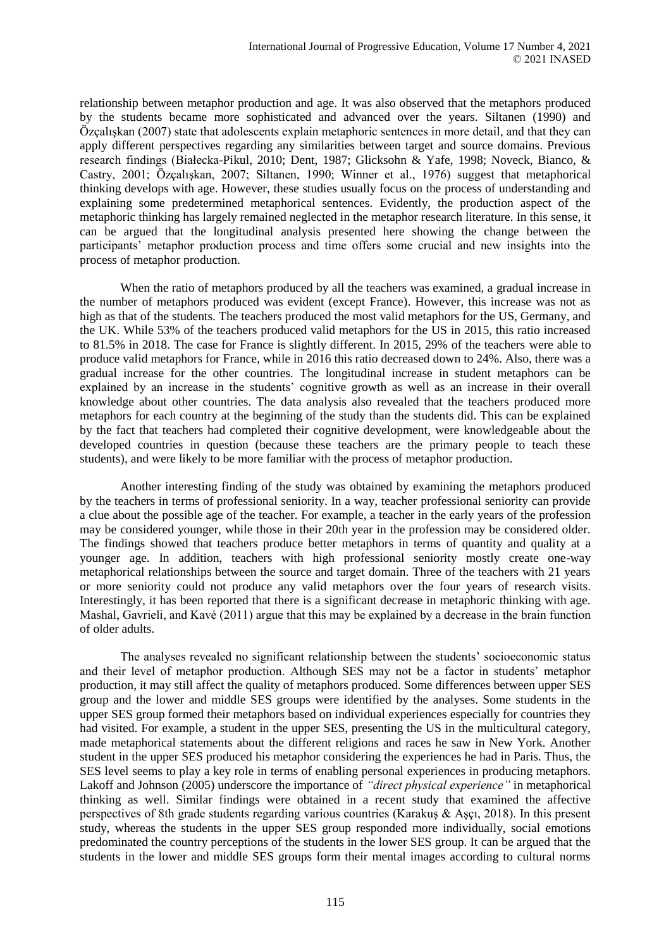relationship between metaphor production and age. It was also observed that the metaphors produced by the students became more sophisticated and advanced over the years. Siltanen (1990) and Özçalışkan (2007) state that adolescents explain metaphoric sentences in more detail, and that they can apply different perspectives regarding any similarities between target and source domains. Previous research findings (Białecka-Pikul, 2010; Dent, 1987; Glicksohn & Yafe, 1998; Noveck, Bianco, & Castry, 2001; Özçalışkan, 2007; Siltanen, 1990; Winner et al., 1976) suggest that metaphorical thinking develops with age. However, these studies usually focus on the process of understanding and explaining some predetermined metaphorical sentences. Evidently, the production aspect of the metaphoric thinking has largely remained neglected in the metaphor research literature. In this sense, it can be argued that the longitudinal analysis presented here showing the change between the participants' metaphor production process and time offers some crucial and new insights into the process of metaphor production.

When the ratio of metaphors produced by all the teachers was examined, a gradual increase in the number of metaphors produced was evident (except France). However, this increase was not as high as that of the students. The teachers produced the most valid metaphors for the US, Germany, and the UK. While 53% of the teachers produced valid metaphors for the US in 2015, this ratio increased to 81.5% in 2018. The case for France is slightly different. In 2015, 29% of the teachers were able to produce valid metaphors for France, while in 2016 this ratio decreased down to 24%. Also, there was a gradual increase for the other countries. The longitudinal increase in student metaphors can be explained by an increase in the students' cognitive growth as well as an increase in their overall knowledge about other countries. The data analysis also revealed that the teachers produced more metaphors for each country at the beginning of the study than the students did. This can be explained by the fact that teachers had completed their cognitive development, were knowledgeable about the developed countries in question (because these teachers are the primary people to teach these students), and were likely to be more familiar with the process of metaphor production.

Another interesting finding of the study was obtained by examining the metaphors produced by the teachers in terms of professional seniority. In a way, teacher professional seniority can provide a clue about the possible age of the teacher. For example, a teacher in the early years of the profession may be considered younger, while those in their 20th year in the profession may be considered older. The findings showed that teachers produce better metaphors in terms of quantity and quality at a younger age. In addition, teachers with high professional seniority mostly create one-way metaphorical relationships between the source and target domain. Three of the teachers with 21 years or more seniority could not produce any valid metaphors over the four years of research visits. Interestingly, it has been reported that there is a significant decrease in metaphoric thinking with age. Mashal, Gavrieli, and Kavé (2011) argue that this may be explained by a decrease in the brain function of older adults.

The analyses revealed no significant relationship between the students' socioeconomic status and their level of metaphor production. Although SES may not be a factor in students' metaphor production, it may still affect the quality of metaphors produced. Some differences between upper SES group and the lower and middle SES groups were identified by the analyses. Some students in the upper SES group formed their metaphors based on individual experiences especially for countries they had visited. For example, a student in the upper SES, presenting the US in the multicultural category, made metaphorical statements about the different religions and races he saw in New York. Another student in the upper SES produced his metaphor considering the experiences he had in Paris. Thus, the SES level seems to play a key role in terms of enabling personal experiences in producing metaphors. Lakoff and Johnson (2005) underscore the importance of *"direct physical experience"* in metaphorical thinking as well. Similar findings were obtained in a recent study that examined the affective perspectives of 8th grade students regarding various countries (Karakuş & Aşçı, 2018). In this present study, whereas the students in the upper SES group responded more individually, social emotions predominated the country perceptions of the students in the lower SES group. It can be argued that the students in the lower and middle SES groups form their mental images according to cultural norms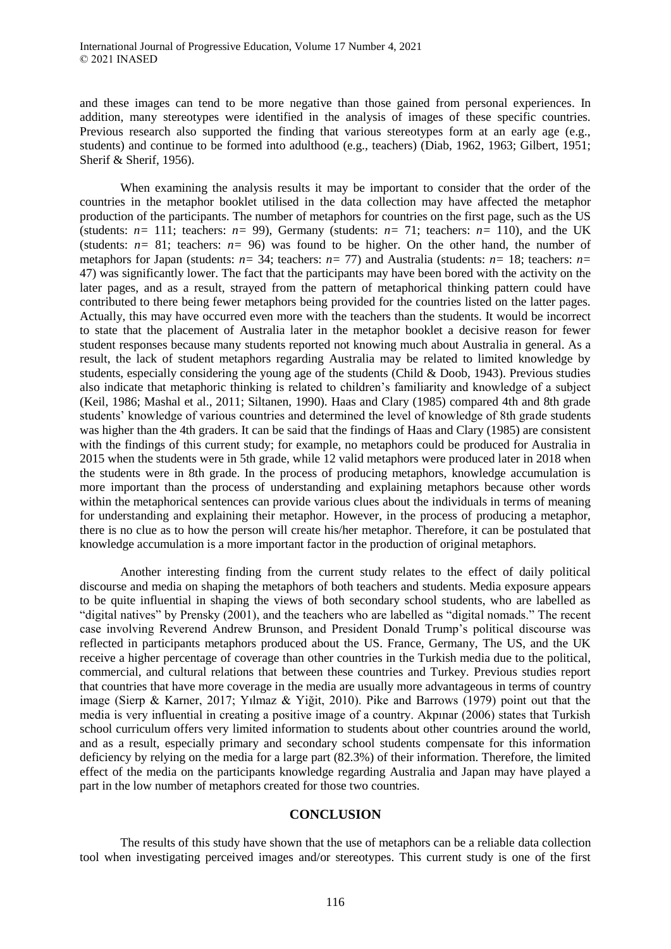and these images can tend to be more negative than those gained from personal experiences. In addition, many stereotypes were identified in the analysis of images of these specific countries. Previous research also supported the finding that various stereotypes form at an early age (e.g., students) and continue to be formed into adulthood (e.g., teachers) (Diab, 1962, 1963; Gilbert, 1951; Sherif & Sherif, 1956).

When examining the analysis results it may be important to consider that the order of the countries in the metaphor booklet utilised in the data collection may have affected the metaphor production of the participants. The number of metaphors for countries on the first page, such as the US (students:  $n=111$ ; teachers:  $n=99$ ), Germany (students:  $n=71$ ; teachers:  $n=110$ ), and the UK (students:  $n=81$ ; teachers:  $n=96$ ) was found to be higher. On the other hand, the number of metaphors for Japan (students: *n=* 34; teachers: *n=* 77) and Australia (students: *n=* 18; teachers: *n=* 47) was significantly lower. The fact that the participants may have been bored with the activity on the later pages, and as a result, strayed from the pattern of metaphorical thinking pattern could have contributed to there being fewer metaphors being provided for the countries listed on the latter pages. Actually, this may have occurred even more with the teachers than the students. It would be incorrect to state that the placement of Australia later in the metaphor booklet a decisive reason for fewer student responses because many students reported not knowing much about Australia in general. As a result, the lack of student metaphors regarding Australia may be related to limited knowledge by students, especially considering the young age of the students (Child & Doob, 1943). Previous studies also indicate that metaphoric thinking is related to children's familiarity and knowledge of a subject (Keil, 1986; Mashal et al., 2011; Siltanen, 1990). Haas and Clary (1985) compared 4th and 8th grade students' knowledge of various countries and determined the level of knowledge of 8th grade students was higher than the 4th graders. It can be said that the findings of Haas and Clary (1985) are consistent with the findings of this current study; for example, no metaphors could be produced for Australia in 2015 when the students were in 5th grade, while 12 valid metaphors were produced later in 2018 when the students were in 8th grade. In the process of producing metaphors, knowledge accumulation is more important than the process of understanding and explaining metaphors because other words within the metaphorical sentences can provide various clues about the individuals in terms of meaning for understanding and explaining their metaphor. However, in the process of producing a metaphor, there is no clue as to how the person will create his/her metaphor. Therefore, it can be postulated that knowledge accumulation is a more important factor in the production of original metaphors.

Another interesting finding from the current study relates to the effect of daily political discourse and media on shaping the metaphors of both teachers and students. Media exposure appears to be quite influential in shaping the views of both secondary school students, who are labelled as "digital natives" by Prensky (2001), and the teachers who are labelled as "digital nomads." The recent case involving Reverend Andrew Brunson, and President Donald Trump's political discourse was reflected in participants metaphors produced about the US. France, Germany, The US, and the UK receive a higher percentage of coverage than other countries in the Turkish media due to the political, commercial, and cultural relations that between these countries and Turkey. Previous studies report that countries that have more coverage in the media are usually more advantageous in terms of country image (Sierp & Karner, 2017; Yılmaz & Yiğit, 2010). Pike and Barrows (1979) point out that the media is very influential in creating a positive image of a country. Akpınar (2006) states that Turkish school curriculum offers very limited information to students about other countries around the world, and as a result, especially primary and secondary school students compensate for this information deficiency by relying on the media for a large part (82.3%) of their information. Therefore, the limited effect of the media on the participants knowledge regarding Australia and Japan may have played a part in the low number of metaphors created for those two countries.

### **CONCLUSION**

The results of this study have shown that the use of metaphors can be a reliable data collection tool when investigating perceived images and/or stereotypes. This current study is one of the first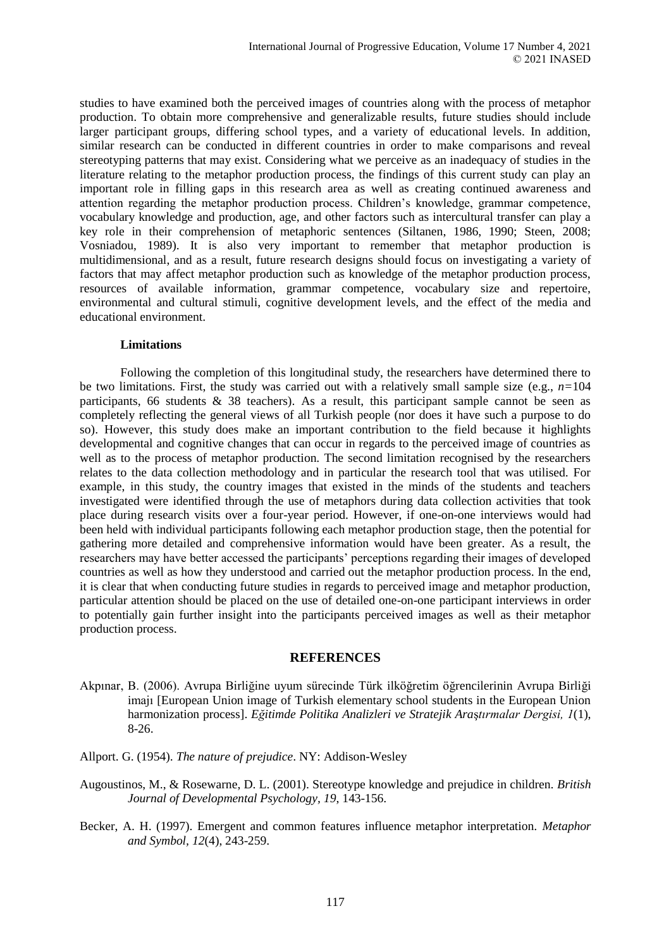studies to have examined both the perceived images of countries along with the process of metaphor production. To obtain more comprehensive and generalizable results, future studies should include larger participant groups, differing school types, and a variety of educational levels. In addition, similar research can be conducted in different countries in order to make comparisons and reveal stereotyping patterns that may exist. Considering what we perceive as an inadequacy of studies in the literature relating to the metaphor production process, the findings of this current study can play an important role in filling gaps in this research area as well as creating continued awareness and attention regarding the metaphor production process. Children's knowledge, grammar competence, vocabulary knowledge and production, age, and other factors such as intercultural transfer can play a key role in their comprehension of metaphoric sentences (Siltanen, 1986, 1990; Steen, 2008; Vosniadou, 1989). It is also very important to remember that metaphor production is multidimensional, and as a result, future research designs should focus on investigating a variety of factors that may affect metaphor production such as knowledge of the metaphor production process, resources of available information, grammar competence, vocabulary size and repertoire, environmental and cultural stimuli, cognitive development levels, and the effect of the media and educational environment.

#### **Limitations**

Following the completion of this longitudinal study, the researchers have determined there to be two limitations. First, the study was carried out with a relatively small sample size (e.g.,  $n=104$ ) participants, 66 students  $\&$  38 teachers). As a result, this participant sample cannot be seen as completely reflecting the general views of all Turkish people (nor does it have such a purpose to do so). However, this study does make an important contribution to the field because it highlights developmental and cognitive changes that can occur in regards to the perceived image of countries as well as to the process of metaphor production. The second limitation recognised by the researchers relates to the data collection methodology and in particular the research tool that was utilised. For example, in this study, the country images that existed in the minds of the students and teachers investigated were identified through the use of metaphors during data collection activities that took place during research visits over a four-year period. However, if one-on-one interviews would had been held with individual participants following each metaphor production stage, then the potential for gathering more detailed and comprehensive information would have been greater. As a result, the researchers may have better accessed the participants' perceptions regarding their images of developed countries as well as how they understood and carried out the metaphor production process. In the end, it is clear that when conducting future studies in regards to perceived image and metaphor production, particular attention should be placed on the use of detailed one-on-one participant interviews in order to potentially gain further insight into the participants perceived images as well as their metaphor production process.

### **REFERENCES**

- Akpınar, B. (2006). Avrupa Birliğine uyum sürecinde Türk ilköğretim öğrencilerinin Avrupa Birliği imajı [European Union image of Turkish elementary school students in the European Union harmonization process]. *Eğitimde Politika Analizleri ve Stratejik Ara*ş*tırmalar Dergisi, 1*(1), 8-26.
- Allport. G. (1954). *The nature of prejudice*. NY: Addison-Wesley
- Augoustinos, M., & Rosewarne, D. L. (2001). Stereotype knowledge and prejudice in children. *British Journal of Developmental Psychology, 19*, 143-156.
- Becker, A. H. (1997). Emergent and common features influence metaphor interpretation. *Metaphor and Symbol, 12*(4), 243-259.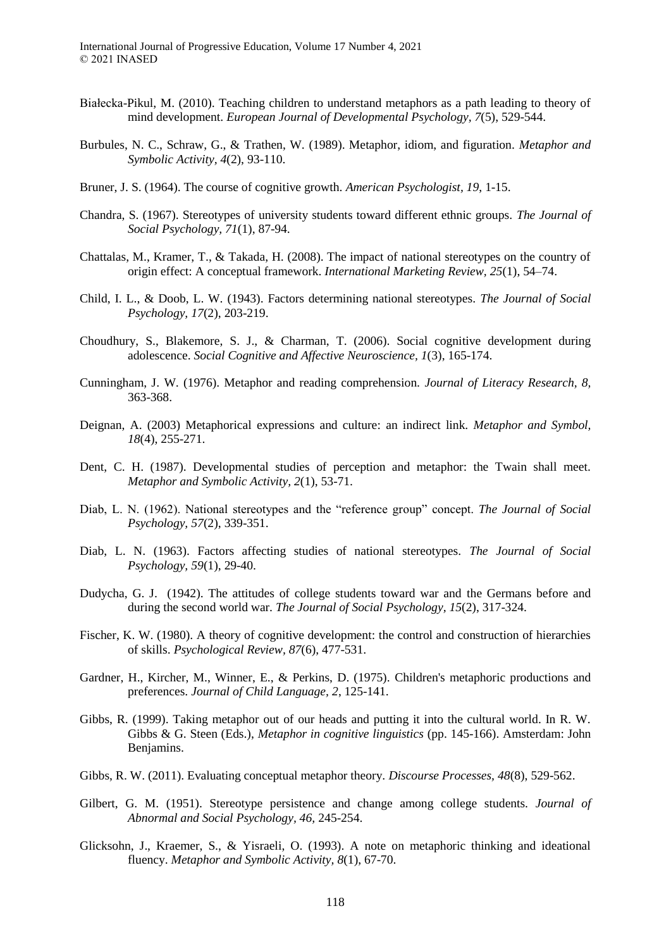- Białecka-Pikul, M. (2010). Teaching children to understand metaphors as a path leading to theory of mind development. *European Journal of Developmental Psychology, 7*(5), 529-544.
- Burbules, N. C., Schraw, G., & Trathen, W. (1989). Metaphor, idiom, and figuration. *Metaphor and Symbolic Activity, 4*(2), 93-110.
- Bruner, J. S. (1964). The course of cognitive growth. *American Psychologist, 19*, 1-15.
- Chandra, S. (1967). Stereotypes of university students toward different ethnic groups. *The Journal of Social Psychology, 71*(1), 87-94.
- Chattalas, M., Kramer, T., & Takada, H. (2008). The impact of national stereotypes on the country of origin effect: A conceptual framework. *International Marketing Review, 25*(1), 54–74.
- Child, I. L., & Doob, L. W. (1943). Factors determining national stereotypes. *The Journal of Social Psychology, 17*(2), 203-219.
- Choudhury, S., Blakemore, S. J., & Charman, T. (2006). Social cognitive development during adolescence. *Social Cognitive and Affective Neuroscience, 1*(3), 165-174.
- Cunningham, J. W. (1976). Metaphor and reading comprehension. *Journal of Literacy Research, 8,*  363-368.
- Deignan, A. (2003) Metaphorical expressions and culture: an indirect link. *Metaphor and Symbol, 18*(4), 255-271.
- Dent, C. H. (1987). Developmental studies of perception and metaphor: the Twain shall meet. *Metaphor and Symbolic Activity, 2*(1), 53-71.
- Diab, L. N. (1962). National stereotypes and the "reference group" concept. *The Journal of Social Psychology, 57*(2), 339-351.
- Diab, L. N. (1963). Factors affecting studies of national stereotypes. *The Journal of Social Psychology, 59*(1), 29-40.
- Dudycha, G. J. (1942). The attitudes of college students toward war and the Germans before and during the second world war. *The Journal of Social Psychology, 15*(2), 317-324.
- Fischer, K. W. (1980). A theory of cognitive development: the control and construction of hierarchies of skills. *Psychological Review, 87*(6), 477-531.
- Gardner, H., Kircher, M., Winner, E., & Perkins, D. (1975). Children's metaphoric productions and preferences. *Journal of Child Language, 2*, 125-141.
- Gibbs, R. (1999). Taking metaphor out of our heads and putting it into the cultural world. In R. W. Gibbs & G. Steen (Eds.), *Metaphor in cognitive linguistics* (pp. 145-166). Amsterdam: John Benjamins.
- Gibbs, R. W. (2011). Evaluating conceptual metaphor theory. *Discourse Processes, 48*(8), 529-562.
- Gilbert, G. M. (1951). Stereotype persistence and change among college students. *Journal of Abnormal and Social Psychology, 46,* 245-254.
- Glicksohn, J., Kraemer, S., & Yisraeli, O. (1993). A note on metaphoric thinking and ideational fluency. *Metaphor and Symbolic Activity, 8*(1), 67-70.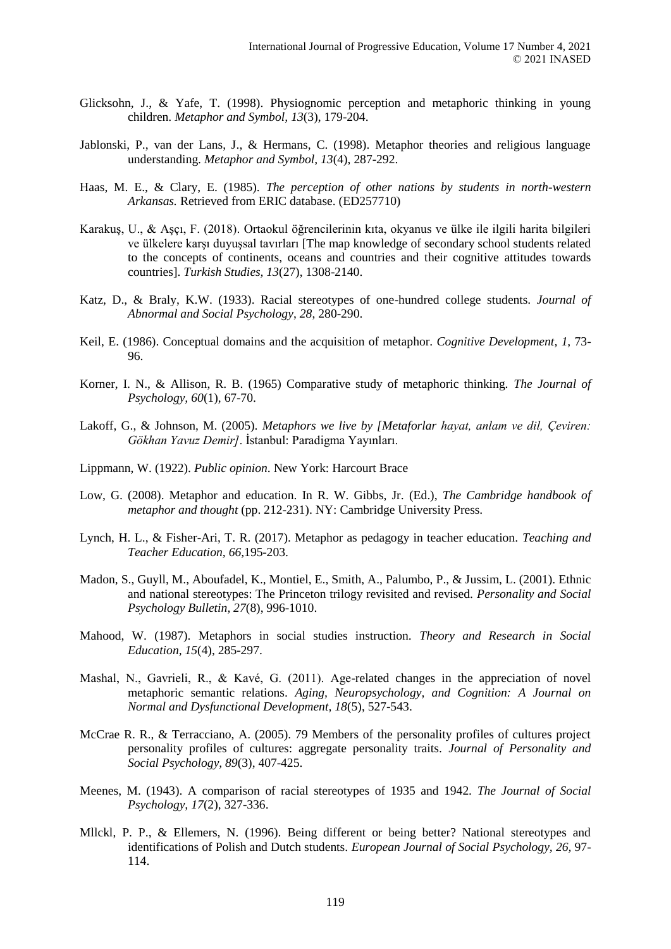- Glicksohn, J., & Yafe, T. (1998). Physiognomic perception and metaphoric thinking in young children. *Metaphor and Symbol, 13*(3), 179-204.
- Jablonski, P., van der Lans, J., & Hermans, C. (1998). Metaphor theories and religious language understanding. *Metaphor and Symbol, 13*(4), 287-292.
- Haas, M. E., & Clary, E. (1985). *The perception of other nations by students in north-western Arkansas.* Retrieved from ERIC database. (ED257710)
- Karakuş, U., & Aşçı, F. (2018). Ortaokul öğrencilerinin kıta, okyanus ve ülke ile ilgili harita bilgileri ve ülkelere karşı duyuşsal tavırları [The map knowledge of secondary school students related to the concepts of continents, oceans and countries and their cognitive attitudes towards countries]. *Turkish Studies, 13*(27), 1308-2140.
- Katz, D., & Braly, K.W. (1933). Racial stereotypes of one-hundred college students. *Journal of Abnormal and Social Psychology*, *28*, 280-290.
- Keil, E. (1986). Conceptual domains and the acquisition of metaphor. *Cognitive Development, 1,* 73- 96.
- Korner, I. N., & Allison, R. B. (1965) Comparative study of metaphoric thinking. *The Journal of Psychology, 60*(1), 67-70.
- Lakoff, G., & Johnson, M. (2005). *Metaphors we live by [Metaforlar hayat, anlam ve dil, Çeviren: Gökhan Yavuz Demir]*. İstanbul: Paradigma Yayınları.
- Lippmann, W. (1922). *Public opinion*. New York: Harcourt Brace
- Low, G. (2008). Metaphor and education. In R. W. Gibbs, Jr. (Ed.), *The Cambridge handbook of metaphor and thought* (pp. 212-231). NY: Cambridge University Press.
- Lynch, H. L., & Fisher-Ari, T. R. (2017). Metaphor as pedagogy in teacher education. *Teaching and Teacher Education, 66,*195-203.
- Madon, S., Guyll, M., Aboufadel, K., Montiel, E., Smith, A., Palumbo, P., & Jussim, L. (2001). Ethnic and national stereotypes: The Princeton trilogy revisited and revised. *Personality and Social Psychology Bulletin, 27*(8), 996-1010.
- Mahood, W. (1987). Metaphors in social studies instruction. *Theory and Research in Social Education, 15*(4), 285-297.
- Mashal, N., Gavrieli, R., & Kavé, G. (2011). Age-related changes in the appreciation of novel metaphoric semantic relations. *Aging, Neuropsychology, and Cognition: A Journal on Normal and Dysfunctional Development, 18*(5), 527-543.
- McCrae R. R., & Terracciano, A. (2005). 79 Members of the personality profiles of cultures project personality profiles of cultures: aggregate personality traits. *Journal of Personality and Social Psychology, 89*(3), 407-425.
- Meenes, M. (1943). A comparison of racial stereotypes of 1935 and 1942. *The Journal of Social Psychology, 17*(2), 327-336.
- Mllckl, P. P., & Ellemers, N. (1996). Being different or being better? National stereotypes and identifications of Polish and Dutch students. *European Journal of Social Psychology, 26,* 97- 114.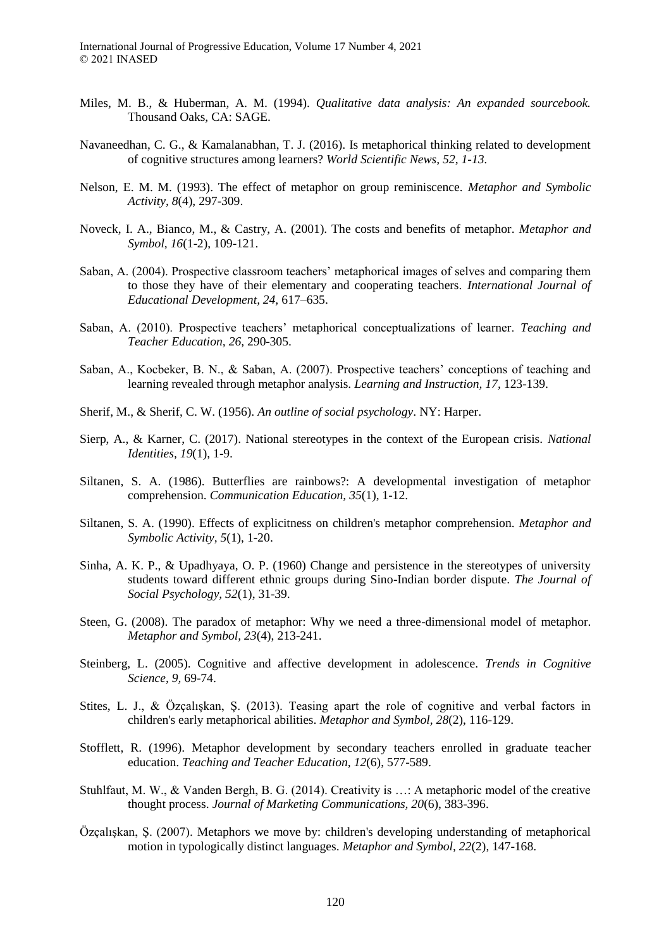- Miles, M. B., & Huberman, A. M. (1994). *Qualitative data analysis: An expanded sourcebook.*  Thousand Oaks, CA: SAGE.
- Navaneedhan, C. G., & Kamalanabhan, T. J. (2016). Is metaphorical thinking related to development of cognitive structures among learners? *World Scientific News, 52, 1-13.*
- Nelson, E. M. M. (1993). The effect of metaphor on group reminiscence. *Metaphor and Symbolic Activity, 8*(4), 297-309.
- Noveck, I. A., Bianco, M., & Castry, A. (2001). The costs and benefits of metaphor. *Metaphor and Symbol, 16*(1-2), 109-121.
- Saban, A. (2004). Prospective classroom teachers' metaphorical images of selves and comparing them to those they have of their elementary and cooperating teachers. *International Journal of Educational Development, 24,* 617–635.
- Saban, A. (2010). Prospective teachers' metaphorical conceptualizations of learner. *Teaching and Teacher Education, 26,* 290-305.
- Saban, A., Kocbeker, B. N., & Saban, A. (2007). Prospective teachers' conceptions of teaching and learning revealed through metaphor analysis. *Learning and Instruction, 17,* 123-139.
- Sherif, M., & Sherif, C. W. (1956). *An outline of social psychology*. NY: Harper.
- Sierp, A., & Karner, C. (2017). National stereotypes in the context of the European crisis. *National Identities, 19*(1), 1-9.
- Siltanen, S. A. (1986). Butterflies are rainbows?: A developmental investigation of metaphor comprehension. *Communication Education, 35*(1), 1-12.
- Siltanen, S. A. (1990). Effects of explicitness on children's metaphor comprehension. *Metaphor and Symbolic Activity, 5*(1), 1-20.
- Sinha, A. K. P., & Upadhyaya, O. P. (1960) Change and persistence in the stereotypes of university students toward different ethnic groups during Sino-Indian border dispute. *The Journal of Social Psychology, 52*(1), 31-39.
- Steen, G. (2008). The paradox of metaphor: Why we need a three-dimensional model of metaphor. *Metaphor and Symbol, 23*(4), 213-241.
- Steinberg, L. (2005). Cognitive and affective development in adolescence. *Trends in Cognitive Science, 9,* 69-74.
- Stites, L. J., & Özçalışkan, Ş. (2013). Teasing apart the role of cognitive and verbal factors in children's early metaphorical abilities. *Metaphor and Symbol, 28*(2), 116-129.
- Stofflett, R. (1996). Metaphor development by secondary teachers enrolled in graduate teacher education. *Teaching and Teacher Education, 12*(6), 577-589.
- Stuhlfaut, M. W., & Vanden Bergh, B. G. (2014). Creativity is …: A metaphoric model of the creative thought process. *Journal of Marketing Communications, 20*(6), 383-396.
- Özçalışkan, Ş. (2007). Metaphors we move by: children's developing understanding of metaphorical motion in typologically distinct languages. *Metaphor and Symbol, 22*(2), 147-168.